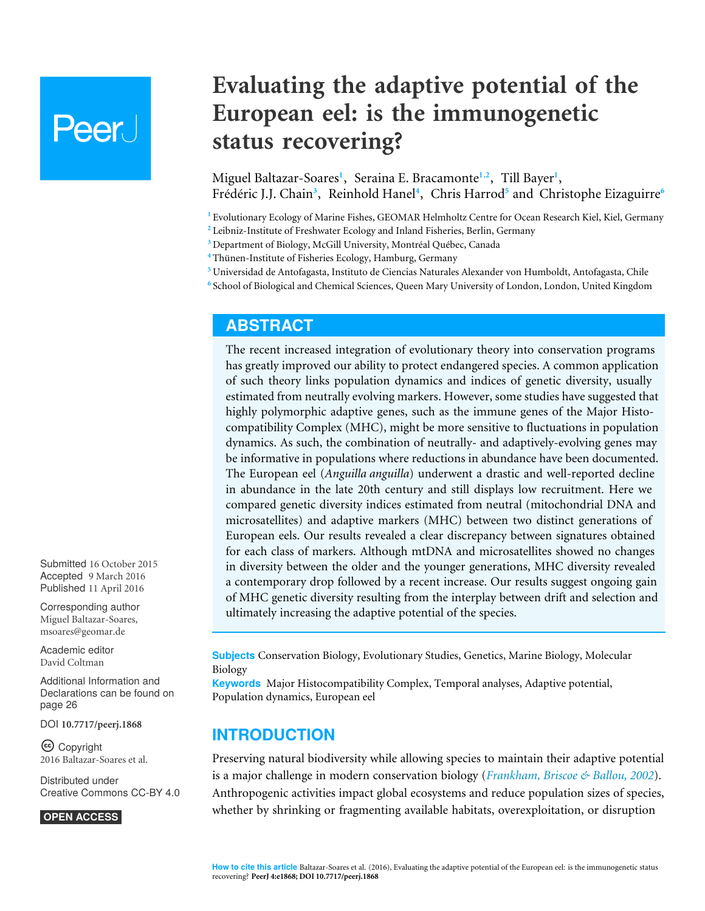# Peer l

# **Evaluating the adaptive potential of the European eel: is the immunogenetic status recovering?**

<span id="page-0-12"></span><span id="page-0-11"></span><span id="page-0-10"></span><span id="page-0-9"></span><span id="page-0-8"></span><span id="page-0-7"></span><span id="page-0-6"></span>Miguel Baltazar-Soares**[1](#page-0-0)** , Seraina E. Bracamonte**[1](#page-0-0)**,**[2](#page-0-1)** , Till Bayer**[1](#page-0-0)** , Frédéric J.J. Chain<sup>[3](#page-0-2)</sup>, Reinhold Hanel<sup>[4](#page-0-3)</sup>, Chris Harrod<sup>[5](#page-0-4)</sup> and Christophe Eizaguirre<sup>[6](#page-0-5)</sup>

<span id="page-0-0"></span>**<sup>1</sup>** Evolutionary Ecology of Marine Fishes, GEOMAR Helmholtz Centre for Ocean Research Kiel, Kiel, Germany

- <span id="page-0-1"></span>**<sup>2</sup>** Leibniz-Institute of Freshwater Ecology and Inland Fisheries, Berlin, Germany
- <span id="page-0-2"></span>**<sup>3</sup>** Department of Biology, McGill University, Montréal Québec, Canada

<span id="page-0-3"></span>**<sup>4</sup>** Thünen-Institute of Fisheries Ecology, Hamburg, Germany

- <span id="page-0-4"></span>**<sup>5</sup>** Universidad de Antofagasta, Instituto de Ciencias Naturales Alexander von Humboldt, Antofagasta, Chile
- <span id="page-0-5"></span>**6** School of Biological and Chemical Sciences, Queen Mary University of London, London, United Kingdom

# **ABSTRACT**

The recent increased integration of evolutionary theory into conservation programs has greatly improved our ability to protect endangered species. A common application of such theory links population dynamics and indices of genetic diversity, usually estimated from neutrally evolving markers. However, some studies have suggested that highly polymorphic adaptive genes, such as the immune genes of the Major Histocompatibility Complex (MHC), might be more sensitive to fluctuations in population dynamics. As such, the combination of neutrally- and adaptively-evolving genes may be informative in populations where reductions in abundance have been documented. The European eel (*Anguilla anguilla*) underwent a drastic and well-reported decline in abundance in the late 20th century and still displays low recruitment. Here we compared genetic diversity indices estimated from neutral (mitochondrial DNA and microsatellites) and adaptive markers (MHC) between two distinct generations of European eels. Our results revealed a clear discrepancy between signatures obtained for each class of markers. Although mtDNA and microsatellites showed no changes in diversity between the older and the younger generations, MHC diversity revealed a contemporary drop followed by a recent increase. Our results suggest ongoing gain of MHC genetic diversity resulting from the interplay between drift and selection and ultimately increasing the adaptive potential of the species.

**Subjects** Conservation Biology, Evolutionary Studies, Genetics, Marine Biology, Molecular Biology

**Keywords** Major Histocompatibility Complex, Temporal analyses, Adaptive potential, Population dynamics, European eel

# **INTRODUCTION**

Preserving natural biodiversity while allowing species to maintain their adaptive potential is a major challenge in modern conservation biology (*[Frankham, Briscoe & Ballou, 2002](#page-28-0)*). Anthropogenic activities impact global ecosystems and reduce population sizes of species, whether by shrinking or fragmenting available habitats, overexploitation, or disruption

Submitted 16 October 2015 Accepted 9 March 2016 Published 11 April 2016

Corresponding author Miguel Baltazar-Soares, [msoares@geomar.de](mailto:msoares@geomar.de)

[Academic editor](https://peerj.com/academic-boards/editors/) [David Coltman](https://peerj.com/academic-boards/editors/)

[Additional Information and](#page-25-0) [Declarations can be found on](#page-25-0) [page 26](#page-25-0)

DOI **[10.7717/peerj.1868](http://dx.doi.org/10.7717/peerj.1868)**

Copyright 2016 Baltazar-Soares et al.

[Distributed under](http://creativecommons.org/licenses/by/4.0/) [Creative Commons CC-BY 4.0](http://creativecommons.org/licenses/by/4.0/)

#### **OPEN ACCESS**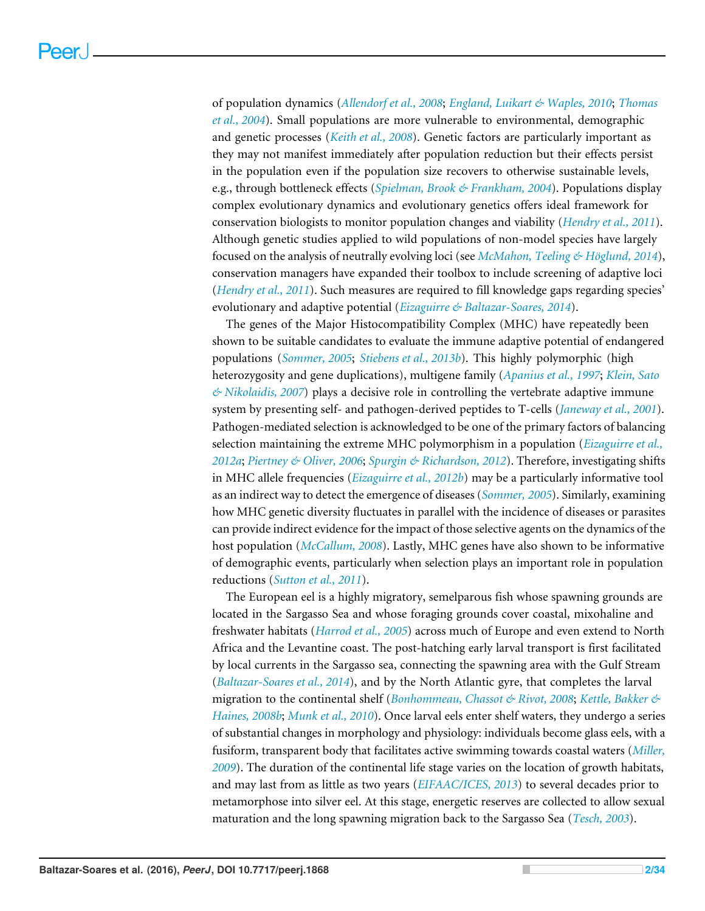of population dynamics (*[Allendorf et al., 2008](#page-26-0)*; *[England, Luikart & Waples, 2010](#page-28-1)*; *[Thomas](#page-32-0) [et al., 2004](#page-32-0)*). Small populations are more vulnerable to environmental, demographic and genetic processes (*[Keith et al., 2008](#page-29-0)*). Genetic factors are particularly important as they may not manifest immediately after population reduction but their effects persist in the population even if the population size recovers to otherwise sustainable levels, e.g., through bottleneck effects (*[Spielman, Brook & Frankham, 2004](#page-31-0)*). Populations display complex evolutionary dynamics and evolutionary genetics offers ideal framework for conservation biologists to monitor population changes and viability (*[Hendry et al., 2011](#page-28-2)*). Although genetic studies applied to wild populations of non-model species have largely focused on the analysis of neutrally evolving loci (see *[McMahon, Teeling & Höglund, 2014](#page-30-0)*), conservation managers have expanded their toolbox to include screening of adaptive loci (*[Hendry et al., 2011](#page-28-2)*). Such measures are required to fill knowledge gaps regarding species' evolutionary and adaptive potential (*[Eizaguirre & Baltazar-Soares, 2014](#page-28-3)*).

The genes of the Major Histocompatibility Complex (MHC) have repeatedly been shown to be suitable candidates to evaluate the immune adaptive potential of endangered populations (*[Sommer, 2005](#page-31-1)*; *[Stiebens et al., 2013b](#page-32-1)*). This highly polymorphic (high heterozygosity and gene duplications), multigene family (*[Apanius et al., 1997](#page-26-1)*; *[Klein, Sato](#page-29-1) [& Nikolaidis, 2007](#page-29-1)*) plays a decisive role in controlling the vertebrate adaptive immune system by presenting self- and pathogen-derived peptides to T-cells (*[Janeway et al., 2001](#page-29-2)*). Pathogen-mediated selection is acknowledged to be one of the primary factors of balancing selection maintaining the extreme MHC polymorphism in a population (*[Eizaguirre et al.,](#page-28-4) [2012a](#page-28-4)*; *[Piertney & Oliver, 2006](#page-30-1)*; *[Spurgin & Richardson, 2012](#page-31-2)*). Therefore, investigating shifts in MHC allele frequencies (*[Eizaguirre et al., 2012b](#page-28-5)*) may be a particularly informative tool as an indirect way to detect the emergence of diseases (*[Sommer, 2005](#page-31-1)*). Similarly, examining how MHC genetic diversity fluctuates in parallel with the incidence of diseases or parasites can provide indirect evidence for the impact of those selective agents on the dynamics of the host population (*[McCallum, 2008](#page-30-2)*). Lastly, MHC genes have also shown to be informative of demographic events, particularly when selection plays an important role in population reductions (*[Sutton et al., 2011](#page-32-2)*).

The European eel is a highly migratory, semelparous fish whose spawning grounds are located in the Sargasso Sea and whose foraging grounds cover coastal, mixohaline and freshwater habitats (*[Harrod et al., 2005](#page-28-6)*) across much of Europe and even extend to North Africa and the Levantine coast. The post-hatching early larval transport is first facilitated by local currents in the Sargasso sea, connecting the spawning area with the Gulf Stream (*[Baltazar-Soares et al., 2014](#page-26-2)*), and by the North Atlantic gyre, that completes the larval migration to the continental shelf (*[Bonhommeau, Chassot & Rivot, 2008](#page-26-3)*; *[Kettle, Bakker &](#page-29-3) [Haines, 2008b](#page-29-3)*; *[Munk et al., 2010](#page-30-3)*). Once larval eels enter shelf waters, they undergo a series of substantial changes in morphology and physiology: individuals become glass eels, with a fusiform, transparent body that facilitates active swimming towards coastal waters (*[Miller,](#page-30-4) [2009](#page-30-4)*). The duration of the continental life stage varies on the location of growth habitats, and may last from as little as two years (*[EIFAAC/ICES, 2013](#page-27-0)*) to several decades prior to metamorphose into silver eel. At this stage, energetic reserves are collected to allow sexual maturation and the long spawning migration back to the Sargasso Sea (*[Tesch, 2003](#page-32-3)*).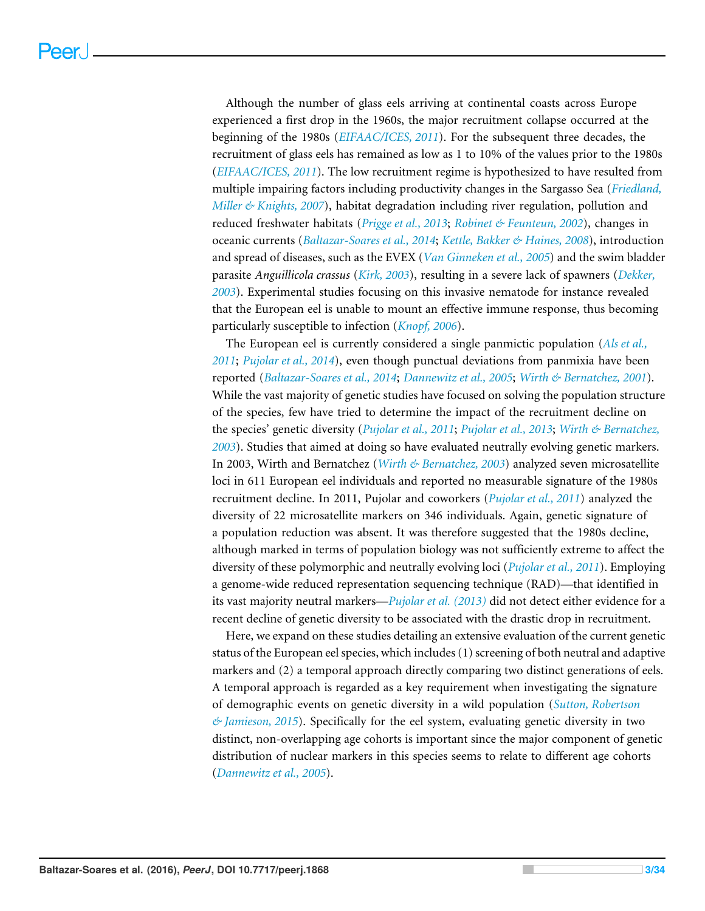Although the number of glass eels arriving at continental coasts across Europe experienced a first drop in the 1960s, the major recruitment collapse occurred at the beginning of the 1980s (*[EIFAAC/ICES, 2011](#page-27-1)*). For the subsequent three decades, the recruitment of glass eels has remained as low as 1 to 10% of the values prior to the 1980s (*[EIFAAC/ICES, 2011](#page-27-1)*). The low recruitment regime is hypothesized to have resulted from multiple impairing factors including productivity changes in the Sargasso Sea (*[Friedland,](#page-28-7) [Miller & Knights, 2007](#page-28-7)*), habitat degradation including river regulation, pollution and reduced freshwater habitats (*[Prigge et al., 2013](#page-30-5)*; *[Robinet & Feunteun, 2002](#page-31-3)*), changes in oceanic currents (*[Baltazar-Soares et al., 2014](#page-26-2)*; *[Kettle, Bakker & Haines, 2008](#page-29-3)*), introduction and spread of diseases, such as the EVEX (*[Van Ginneken et al., 2005](#page-32-4)*) and the swim bladder parasite *Anguillicola crassus* (*[Kirk, 2003](#page-29-4)*), resulting in a severe lack of spawners (*[Dekker,](#page-27-2) [2003](#page-27-2)*). Experimental studies focusing on this invasive nematode for instance revealed that the European eel is unable to mount an effective immune response, thus becoming particularly susceptible to infection (*[Knopf, 2006](#page-29-5)*).

The European eel is currently considered a single panmictic population (*[Als et al.,](#page-26-4) [2011](#page-26-4)*; *[Pujolar et al., 2014](#page-31-4)*), even though punctual deviations from panmixia have been reported (*[Baltazar-Soares et al., 2014](#page-26-2)*; *[Dannewitz et al., 2005](#page-27-3)*; *[Wirth & Bernatchez, 2001](#page-33-0)*). While the vast majority of genetic studies have focused on solving the population structure of the species, few have tried to determine the impact of the recruitment decline on the species' genetic diversity (*[Pujolar et al., 2011](#page-30-6)*; *[Pujolar et al., 2013](#page-31-5)*; *[Wirth & Bernatchez,](#page-33-1) [2003](#page-33-1)*). Studies that aimed at doing so have evaluated neutrally evolving genetic markers. In 2003, Wirth and Bernatchez (*[Wirth & Bernatchez, 2003](#page-33-1)*) analyzed seven microsatellite loci in 611 European eel individuals and reported no measurable signature of the 1980s recruitment decline. In 2011, Pujolar and coworkers (*[Pujolar et al., 2011](#page-30-6)*) analyzed the diversity of 22 microsatellite markers on 346 individuals. Again, genetic signature of a population reduction was absent. It was therefore suggested that the 1980s decline, although marked in terms of population biology was not sufficiently extreme to affect the diversity of these polymorphic and neutrally evolving loci (*[Pujolar et al., 2011](#page-30-6)*). Employing a genome-wide reduced representation sequencing technique (RAD)—that identified in its vast majority neutral markers—*[Pujolar et al. \(2013\)](#page-31-5)* did not detect either evidence for a recent decline of genetic diversity to be associated with the drastic drop in recruitment.

Here, we expand on these studies detailing an extensive evaluation of the current genetic status of the European eel species, which includes (1) screening of both neutral and adaptive markers and (2) a temporal approach directly comparing two distinct generations of eels. A temporal approach is regarded as a key requirement when investigating the signature of demographic events on genetic diversity in a wild population (*[Sutton, Robertson](#page-32-5) [& Jamieson, 2015](#page-32-5)*). Specifically for the eel system, evaluating genetic diversity in two distinct, non-overlapping age cohorts is important since the major component of genetic distribution of nuclear markers in this species seems to relate to different age cohorts (*[Dannewitz et al., 2005](#page-27-3)*).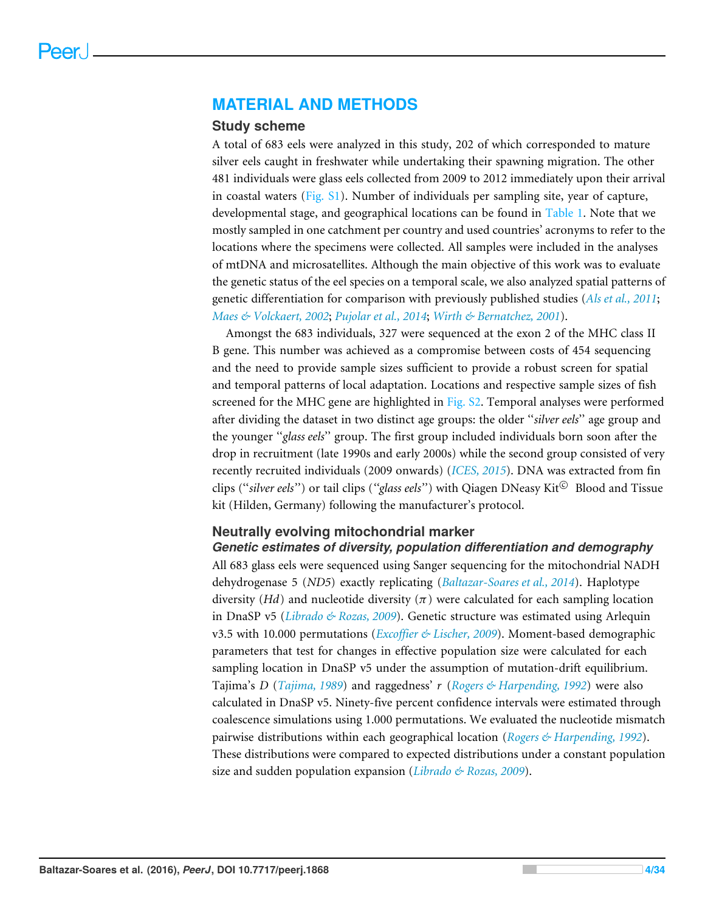# **MATERIAL AND METHODS**

### **Study scheme**

A total of 683 eels were analyzed in this study, 202 of which corresponded to mature silver eels caught in freshwater while undertaking their spawning migration. The other 481 individuals were glass eels collected from 2009 to 2012 immediately upon their arrival in coastal waters [\(Fig. S1\)](http://dx.doi.org/10.7717/peerj.1868/supp-9). Number of individuals per sampling site, year of capture, developmental stage, and geographical locations can be found in [Table 1.](#page-4-0) Note that we mostly sampled in one catchment per country and used countries' acronyms to refer to the locations where the specimens were collected. All samples were included in the analyses of mtDNA and microsatellites. Although the main objective of this work was to evaluate the genetic status of the eel species on a temporal scale, we also analyzed spatial patterns of genetic differentiation for comparison with previously published studies (*[Als et al., 2011](#page-26-4)*; *[Maes & Volckaert, 2002](#page-29-6)*; *[Pujolar et al., 2014](#page-31-4)*; *[Wirth & Bernatchez, 2001](#page-33-0)*).

Amongst the 683 individuals, 327 were sequenced at the exon 2 of the MHC class II B gene. This number was achieved as a compromise between costs of 454 sequencing and the need to provide sample sizes sufficient to provide a robust screen for spatial and temporal patterns of local adaptation. Locations and respective sample sizes of fish screened for the MHC gene are highlighted in [Fig. S2.](http://dx.doi.org/10.7717/peerj.1868/supp-10) Temporal analyses were performed after dividing the dataset in two distinct age groups: the older ''*silver eels*'' age group and the younger ''*glass eels*'' group. The first group included individuals born soon after the drop in recruitment (late 1990s and early 2000s) while the second group consisted of very recently recruited individuals (2009 onwards) (*[ICES, 2015](#page-28-8)*). DNA was extracted from fin clips ("silver eels") or tail clips ("glass eels") with Qiagen DNeasy Kit<sup>©</sup> Blood and Tissue kit (Hilden, Germany) following the manufacturer's protocol.

### **Neutrally evolving mitochondrial marker**

*Genetic estimates of diversity, population differentiation and demography* All 683 glass eels were sequenced using Sanger sequencing for the mitochondrial NADH dehydrogenase 5 (*ND5*) exactly replicating (*[Baltazar-Soares et al., 2014](#page-26-2)*). Haplotype diversity (*Hd*) and nucleotide diversity ( $\pi$ ) were calculated for each sampling location in DnaSP v5 (*[Librado & Rozas, 2009](#page-29-7)*). Genetic structure was estimated using Arlequin v3.5 with 10.000 permutations (*[Excoffier & Lischer, 2009](#page-28-9)*). Moment-based demographic parameters that test for changes in effective population size were calculated for each sampling location in DnaSP v5 under the assumption of mutation-drift equilibrium. Tajima's *D* (*[Tajima, 1989](#page-32-6)*) and raggedness' *r* (*[Rogers & Harpending, 1992](#page-31-6)*) were also calculated in DnaSP v5. Ninety-five percent confidence intervals were estimated through coalescence simulations using 1.000 permutations. We evaluated the nucleotide mismatch pairwise distributions within each geographical location (*[Rogers & Harpending, 1992](#page-31-6)*). These distributions were compared to expected distributions under a constant population size and sudden population expansion (*[Librado & Rozas, 2009](#page-29-7)*).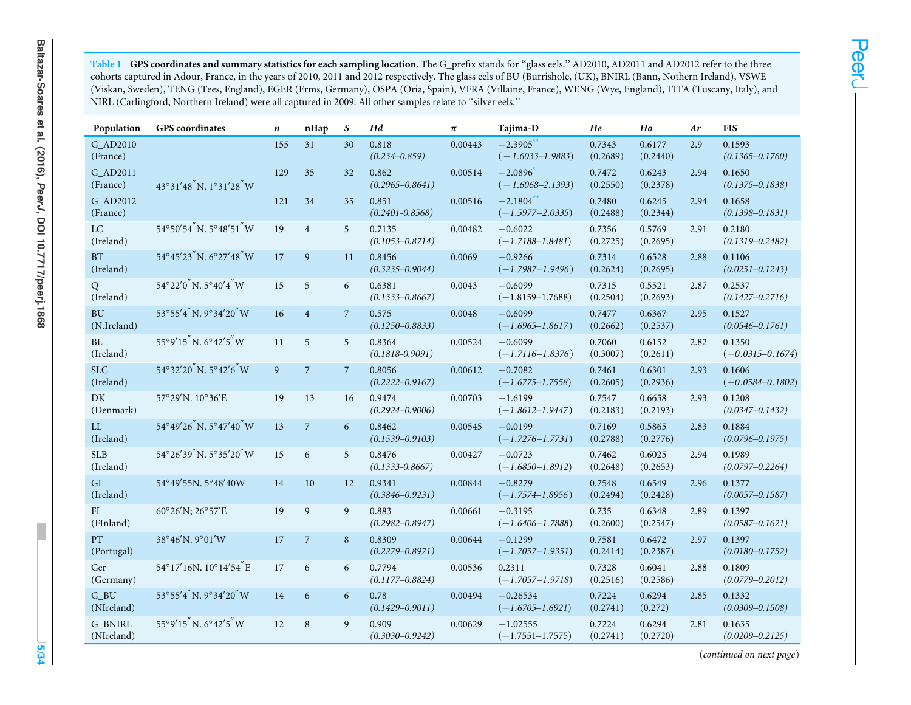<span id="page-4-0"></span><mark>Table 1 GPS coordinates and summary statistics for each sampling location.</mark> The G\_prefix stands for "glass eels." AD2010, AD2011 and AD2012 refer to the three cohorts captured in Adour, France, in the years of 2010, <sup>2011</sup> and <sup>2012</sup> respectively. The glass eels of BU (Burrishole, (UK), BNIRL (Bann, Nothern Ireland), VSWE (Viskan, Sweden), TENG (Tees, England), EGER (Erms, Germany), OSPA (Oria, Spain), VFRA (Villaine, France), WENG (Wye, England), TITA (Tuscany, Italy), andNIRL (Carlingford, Northern Ireland) were all captured in 2009. All other samples relate to ''silver eels.''

| Population                   | <b>GPS</b> coordinates                      | $\boldsymbol{n}$ | nHap           | S              | Hd                            | $\pi$   | Tajima-D                           | He                 | Ho                 | Ar   | <b>FIS</b>                     |
|------------------------------|---------------------------------------------|------------------|----------------|----------------|-------------------------------|---------|------------------------------------|--------------------|--------------------|------|--------------------------------|
| G_AD2010<br>(France)         |                                             | 155              | 31             | 30             | 0.818<br>$(0.234 - 0.859)$    | 0.00443 | $-2.3905$<br>$(-1.6033 - 1.9883)$  | 0.7343<br>(0.2689) | 0.6177<br>(0.2440) | 2.9  | 0.1593<br>$(0.1365 - 0.1760)$  |
| G_AD2011<br>(France)         | $43^{\circ}31'48''$ N. $1^{\circ}31'28''$ W | 129              | 35             | 32             | 0.862<br>$(0.2965 - 0.8641)$  | 0.00514 | $-2.0896$<br>$(-1.6068 - 2.1393)$  | 0.7472<br>(0.2550) | 0.6243<br>(0.2378) | 2.94 | 0.1650<br>$(0.1375 - 0.1838)$  |
| G_AD2012<br>(France)         |                                             | 121              | 34             | 35             | 0.851<br>$(0.2401 - 0.8568)$  | 0.00516 | $-2.1804$<br>$(-1.5977 - 2.0335)$  | 0.7480<br>(0.2488) | 0.6245<br>(0.2344) | 2.94 | 0.1658<br>$(0.1398 - 0.1831)$  |
| <b>LC</b><br>(Ireland)       | 54°50′54″N.5°48′51″W                        | 19               | $\overline{4}$ | 5              | 0.7135<br>$(0.1053 - 0.8714)$ | 0.00482 | $-0.6022$<br>$(-1.7188 - 1.8481)$  | 0.7356<br>(0.2725) | 0.5769<br>(0.2695) | 2.91 | 0.2180<br>$(0.1319 - 0.2482)$  |
| BT<br>(Ireland)              | $54^{\circ}45'23''$ N. $6^{\circ}27'48''$ W | 17               | 9              | 11             | 0.8456<br>$(0.3235 - 0.9044)$ | 0.0069  | $-0.9266$<br>$(-1.7987 - 1.9496)$  | 0.7314<br>(0.2624) | 0.6528<br>(0.2695) | 2.88 | 0.1106<br>$(0.0251 - 0.1243)$  |
| Q<br>(Ireland)               | $54^{\circ}22'0''$ N. $5^{\circ}40'4''$ W   | 15               | 5              | 6              | 0.6381<br>$(0.1333 - 0.8667)$ | 0.0043  | $-0.6099$<br>$(-1.8159 - 1.7688)$  | 0.7315<br>(0.2504) | 0.5521<br>(0.2693) | 2.87 | 0.2537<br>$(0.1427 - 0.2716)$  |
| <b>BU</b><br>(N.Ireland)     | $53^{\circ}55'4''$ N. $9^{\circ}34'20''$ W  | 16               | $\overline{4}$ | $\overline{7}$ | 0.575<br>$(0.1250 - 0.8833)$  | 0.0048  | $-0.6099$<br>$(-1.6965 - 1.8617)$  | 0.7477<br>(0.2662) | 0.6367<br>(0.2537) | 2.95 | 0.1527<br>$(0.0546 - 0.1761)$  |
| BL.<br>(Ireland)             | $55°9'15''$ N. $6°42'5''$ W                 | 11               | 5              | 5              | 0.8364<br>$(0.1818 - 0.9091)$ | 0.00524 | $-0.6099$<br>$(-1.7116 - 1.8376)$  | 0.7060<br>(0.3007) | 0.6152<br>(0.2611) | 2.82 | 0.1350<br>$(-0.0315 - 0.1674)$ |
| <b>SLC</b><br>(Ireland)      | 54°32'20"N.5°42'6"W                         | $\overline{9}$   | $\overline{7}$ | $\overline{7}$ | 0.8056<br>$(0.2222 - 0.9167)$ | 0.00612 | $-0.7082$<br>$(-1.6775 - 1.7558)$  | 0.7461<br>(0.2605) | 0.6301<br>(0.2936) | 2.93 | 0.1606<br>$(-0.0584 - 0.1802)$ |
| DK<br>(Denmark)              | 57°29'N. 10°36'E                            | 19               | 13             | 16             | 0.9474<br>$(0.2924 - 0.9006)$ | 0.00703 | $-1.6199$<br>$(-1.8612 - 1.9447)$  | 0.7547<br>(0.2183) | 0.6658<br>(0.2193) | 2.93 | 0.1208<br>$(0.0347 - 0.1432)$  |
| LL<br>(Ireland)              | $54^{\circ}49'26''$ N. $5^{\circ}47'40''$ W | 13               | $\overline{7}$ | 6              | 0.8462<br>$(0.1539 - 0.9103)$ | 0.00545 | $-0.0199$<br>$(-1.7276 - 1.7731)$  | 0.7169<br>(0.2788) | 0.5865<br>(0.2776) | 2.83 | 0.1884<br>$(0.0796 - 0.1975)$  |
| <b>SLB</b><br>(Ireland)      | $54^{\circ}26'39''$ N. $5^{\circ}35'20''$ W | 15               | 6              | 5              | 0.8476<br>$(0.1333 - 0.8667)$ | 0.00427 | $-0.0723$<br>$(-1.6850 - 1.8912)$  | 0.7462<br>(0.2648) | 0.6025<br>(0.2653) | 2.94 | 0.1989<br>$(0.0797 - 0.2264)$  |
| GL<br>(Ireland)              | 54°49′55N.5°48′40W                          | 14               | 10             | 12             | 0.9341<br>$(0.3846 - 0.9231)$ | 0.00844 | $-0.8279$<br>$(-1.7574 - 1.8956)$  | 0.7548<br>(0.2494) | 0.6549<br>(0.2428) | 2.96 | 0.1377<br>$(0.0057 - 0.1587)$  |
| FI<br>(FInland)              | $60^{\circ}26'$ N; $26^{\circ}57'E$         | 19               | 9              | 9              | 0.883<br>$(0.2982 - 0.8947)$  | 0.00661 | $-0.3195$<br>$(-1.6406 - 1.7888)$  | 0.735<br>(0.2600)  | 0.6348<br>(0.2547) | 2.89 | 0.1397<br>$(0.0587 - 0.1621)$  |
| PT<br>(Portugal)             | 38°46'N.9°01'W                              | 17               | $\overline{7}$ | 8              | 0.8309<br>$(0.2279 - 0.8971)$ | 0.00644 | $-0.1299$<br>$(-1.7057 - 1.9351)$  | 0.7581<br>(0.2414) | 0.6472<br>(0.2387) | 2.97 | 0.1397<br>$(0.0180 - 0.1752)$  |
| Ger<br>(Germany)             | 54°17'16N. 10°14'54"E                       | 17               | 6              | 6              | 0.7794<br>$(0.1177 - 0.8824)$ | 0.00536 | 0.2311<br>$(-1.7057 - 1.9718)$     | 0.7328<br>(0.2516) | 0.6041<br>(0.2586) | 2.88 | 0.1809<br>$(0.0779 - 0.2012)$  |
| $G_BU$<br>(NIreland)         | 53°55'4"N. 9°34'20"W                        | 14               | 6              | 6              | 0.78<br>$(0.1429 - 0.9011)$   | 0.00494 | $-0.26534$<br>$(-1.6705 - 1.6921)$ | 0.7224<br>(0.2741) | 0.6294<br>(0.272)  | 2.85 | 0.1332<br>$(0.0309 - 0.1508)$  |
| <b>G_BNIRL</b><br>(NIreland) | 55°9'15"N.6°42'5"W                          | 12               | 8              | 9              | 0.909<br>$(0.3030 - 0.9242)$  | 0.00629 | $-1.02555$<br>$(-1.7551 - 1.7575)$ | 0.7224<br>(0.2741) | 0.6294<br>(0.2720) | 2.81 | 0.1635<br>$(0.0209 - 0.2125)$  |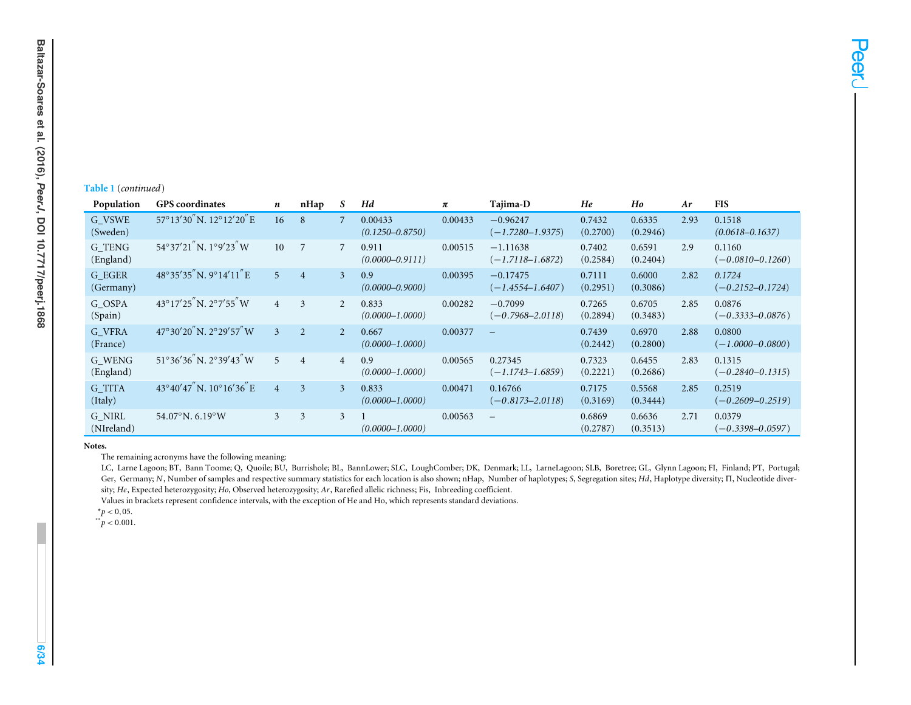#### **Table 1** (*continued*)

| Population                | <b>GPS</b> coordinates                       | n              | nHap            | S              | Hd                             | π       | Tajima-D                           | He                 | Ho                 | Ar   | <b>FIS</b>                     |
|---------------------------|----------------------------------------------|----------------|-----------------|----------------|--------------------------------|---------|------------------------------------|--------------------|--------------------|------|--------------------------------|
| G VSWE<br>(Sweden)        | $57^{\circ}13'30''$ N. $12^{\circ}12'20''$ E | 16             | 8               | 7              | 0.00433<br>$(0.1250 - 0.8750)$ | 0.00433 | $-0.96247$<br>$(-1.7280 - 1.9375)$ | 0.7432<br>(0.2700) | 0.6335<br>(0.2946) | 2.93 | 0.1518<br>$(0.0618 - 0.1637)$  |
| G TENG<br>(England)       | $54^{\circ}37'21''$ N. $1^{\circ}9'23''$ W   | 10             | $7\phantom{.0}$ | 7              | 0.911<br>$(0.0000 - 0.9111)$   | 0.00515 | $-1.11638$<br>$(-1.7118 - 1.6872)$ | 0.7402<br>(0.2584) | 0.6591<br>(0.2404) | 2.9  | 0.1160<br>$(-0.0810 - 0.1260)$ |
| G EGER<br>(Germany)       | 48°35'35"N.9°14'11"E                         | 5 <sup>1</sup> | 4               | 3              | 0.9<br>$(0.0000 - 0.9000)$     | 0.00395 | $-0.17475$<br>$(-1.4554 - 1.6407)$ | 0.7111<br>(0.2951) | 0.6000<br>(0.3086) | 2.82 | 0.1724<br>$(-0.2152 - 0.1724)$ |
| G OSPA<br>(Spain)         | $43^{\circ}17'25''$ N. $2^{\circ}7'55''$ W   | $\overline{4}$ | 3               | 2              | 0.833<br>$(0.0000 - 1.0000)$   | 0.00282 | $-0.7099$<br>$(-0.7968 - 2.0118)$  | 0.7265<br>(0.2894) | 0.6705<br>(0.3483) | 2.85 | 0.0876<br>$(-0.3333 - 0.0876)$ |
| <b>G VFRA</b><br>(France) | $47^{\circ}30'20''$ N. $2^{\circ}29'57''$ W  | $\mathbf{3}$   | $\overline{2}$  | $\mathfrak{D}$ | 0.667<br>$(0.0000 - 1.0000)$   | 0.00377 |                                    | 0.7439<br>(0.2442) | 0.6970<br>(0.2800) | 2.88 | 0.0800<br>$(-1.0000 - 0.0800)$ |
| G WENG<br>(England)       | $51^{\circ}36'36''$ N, $2^{\circ}39'43''$ W  | 5 <sup>5</sup> | $\overline{4}$  | $\overline{4}$ | 0.9<br>$(0.0000 - 1.0000)$     | 0.00565 | 0.27345<br>$(-1.1743 - 1.6859)$    | 0.7323<br>(0.2221) | 0.6455<br>(0.2686) | 2.83 | 0.1315<br>$(-0.2840 - 0.1315)$ |
| <b>G</b> TITA<br>(Italy)  | $43^{\circ}40'47''$ N. $10^{\circ}16'36''$ E | $\overline{4}$ | 3               | 3              | 0.833<br>$(0.0000 - 1.0000)$   | 0.00471 | 0.16766<br>$(-0.8173 - 2.0118)$    | 0.7175<br>(0.3169) | 0.5568<br>(0.3444) | 2.85 | 0.2519<br>$(-0.2609 - 0.2519)$ |
| G NIRL<br>(NIreland)      | $54.07^{\circ}$ N. 6.19 $^{\circ}$ W         | $\mathfrak{Z}$ | 3               | 3              | $(0.0000 - 1.0000)$            | 0.00563 | $\overline{\phantom{m}}$           | 0.6869<br>(0.2787) | 0.6636<br>(0.3513) | 2.71 | 0.0379<br>$(-0.3398 - 0.0597)$ |

**Notes.**

**6/34**

The remaining acronyms have the following meaning:

LC, Larne Lagoon; BT, Bann Toome; Q, Quoile; BU, Burrishole; BL, BannLower; SLC, LoughComber; DK, Denmark; LL, LarneLagoon; SLB, Boretree; GL, Glynn Lagoon; FI, Finland; PT, Portugal; Ger, Germany; *N*, Number of samples and respective summary statistics for each location is also shown; nHap, Number of haplotypes; *S*, Segregation sites; *Hd*, Haplotype diversity;  $\Pi$ , Nucleotide diversity; *He*, Expected heterozygosity; *Ho*, Observed heterozygosity; *Ar*, Rarefied allelic richness; Fis, Inbreeding coefficient.

<span id="page-5-1"></span><span id="page-5-0"></span>Values in brackets represen<sup>t</sup> confidence intervals, with the exception of He and Ho, which represents standard deviations.

 $*^{*}p < 0,05.$ <br> $*^{*}p < 0.001.$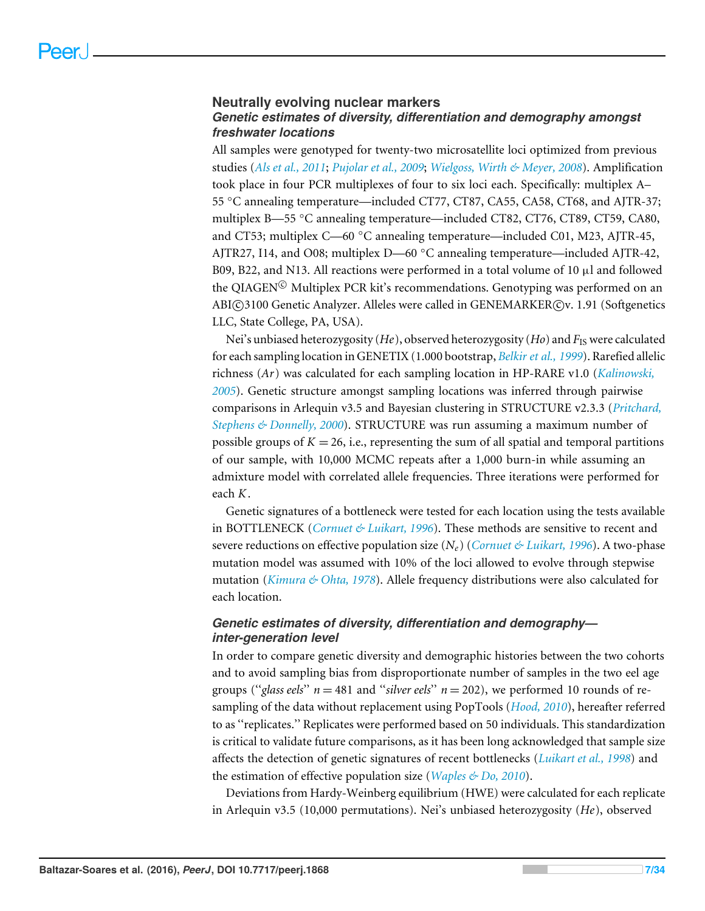### **Neutrally evolving nuclear markers** *Genetic estimates of diversity, differentiation and demography amongst freshwater locations*

All samples were genotyped for twenty-two microsatellite loci optimized from previous studies (*[Als et al., 2011](#page-26-4)*; *[Pujolar et al., 2009](#page-31-7)*; *[Wielgoss, Wirth & Meyer, 2008](#page-33-2)*). Amplification took place in four PCR multiplexes of four to six loci each. Specifically: multiplex A– 55 ◦C annealing temperature—included CT77, CT87, CA55, CA58, CT68, and AJTR-37; multiplex B—55 °C annealing temperature—included CT82, CT76, CT89, CT59, CA80, and CT53; multiplex C—60 °C annealing temperature—included C01, M23, AJTR-45, AJTR27, I14, and O08; multiplex D—60 ◦C annealing temperature—included AJTR-42, B09, B22, and N13. All reactions were performed in a total volume of 10  $\mu$ l and followed the QIAGEN<sup>©</sup> Multiplex PCR kit's recommendations. Genotyping was performed on an ABI(C)3100 Genetic Analyzer. Alleles were called in GENEMARKER(C)v. 1.91 (Softgenetics LLC, State College, PA, USA).

Nei's unbiased heterozygosity (*He*), observed heterozygosity (*Ho*) and *F*IS were calculated for each sampling location in GENETIX (1.000 bootstrap, *[Belkir et al., 1999](#page-26-5)*). Rarefied allelic richness (*Ar*) was calculated for each sampling location in HP-RARE v1.0 (*[Kalinowski,](#page-29-8) [2005](#page-29-8)*). Genetic structure amongst sampling locations was inferred through pairwise comparisons in Arlequin v3.5 and Bayesian clustering in STRUCTURE v2.3.3 (*[Pritchard,](#page-30-7) [Stephens & Donnelly, 2000](#page-30-7)*). STRUCTURE was run assuming a maximum number of possible groups of  $K = 26$ , i.e., representing the sum of all spatial and temporal partitions of our sample, with 10,000 MCMC repeats after a 1,000 burn-in while assuming an admixture model with correlated allele frequencies. Three iterations were performed for each *K*.

Genetic signatures of a bottleneck were tested for each location using the tests available in BOTTLENECK (*[Cornuet & Luikart, 1996](#page-27-4)*). These methods are sensitive to recent and severe reductions on effective population size (*Ne*) (*[Cornuet & Luikart, 1996](#page-27-4)*). A two-phase mutation model was assumed with 10% of the loci allowed to evolve through stepwise mutation (*[Kimura & Ohta, 1978](#page-29-9)*). Allele frequency distributions were also calculated for each location.

# *Genetic estimates of diversity, differentiation and demography inter-generation level*

In order to compare genetic diversity and demographic histories between the two cohorts and to avoid sampling bias from disproportionate number of samples in the two eel age groups ("*glass eels*"  $n = 481$  and "*silver eels*"  $n = 202$ ), we performed 10 rounds of resampling of the data without replacement using PopTools (*[Hood, 2010](#page-28-10)*), hereafter referred to as ''replicates.'' Replicates were performed based on 50 individuals. This standardization is critical to validate future comparisons, as it has been long acknowledged that sample size affects the detection of genetic signatures of recent bottlenecks (*[Luikart et al., 1998](#page-29-10)*) and the estimation of effective population size (*[Waples & Do, 2010](#page-32-7)*).

Deviations from Hardy-Weinberg equilibrium (HWE) were calculated for each replicate in Arlequin v3.5 (10,000 permutations). Nei's unbiased heterozygosity (*He*), observed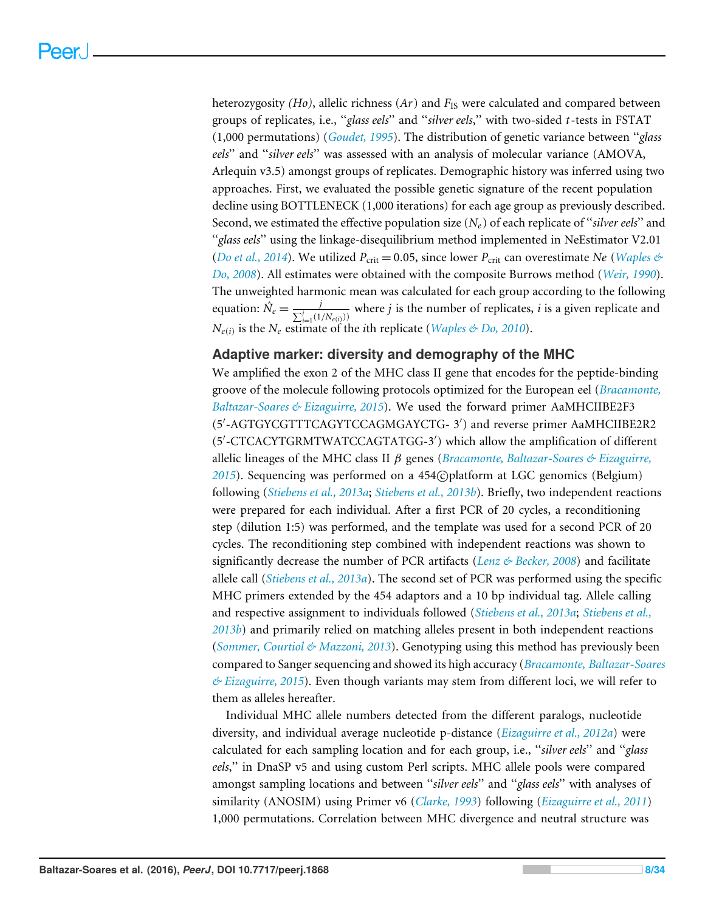heterozygosity *(Ho)*, allelic richness *(Ar)* and *F*<sub>IS</sub> were calculated and compared between groups of replicates, i.e., ''*glass eels*'' and ''*silver eels*,'' with two-sided *t*-tests in FSTAT (1,000 permutations) (*[Goudet, 1995](#page-28-11)*). The distribution of genetic variance between ''*glass eels*'' and ''*silver eels*'' was assessed with an analysis of molecular variance (AMOVA, Arlequin v3.5) amongst groups of replicates. Demographic history was inferred using two approaches. First, we evaluated the possible genetic signature of the recent population decline using BOTTLENECK (1,000 iterations) for each age group as previously described. Second, we estimated the effective population size (*Ne*) of each replicate of ''*silver eels*'' and ''*glass eels*'' using the linkage-disequilibrium method implemented in NeEstimator V2.01 (*[Do et al., 2014](#page-27-5)*). We utilized  $P_{\text{crit}} = 0.05$ , since lower  $P_{\text{crit}}$  can overestimate *Ne* (*Waples*  $\&$ *[Do, 2008](#page-32-8)*). All estimates were obtained with the composite Burrows method (*[Weir, 1990](#page-32-9)*). The unweighted harmonic mean was calculated for each group according to the following equation:  $\hat{N}_e = \frac{j}{\sum_{i=1}^{j} j_i}$  $\frac{f}{\sum_{i=1}^{j}(1/N_{e(i)})}$  where *j* is the number of replicates, *i* is a given replicate and *Ne*(*i*) is the *N<sup>e</sup>* estimate of the *i*th replicate (*[Waples & Do, 2010](#page-32-7)*).

### **Adaptive marker: diversity and demography of the MHC**

We amplified the exon 2 of the MHC class II gene that encodes for the peptide-binding groove of the molecule following protocols optimized for the European eel (*[Bracamonte,](#page-27-6) [Baltazar-Soares & Eizaguirre, 2015](#page-27-6)*). We used the forward primer AaMHCIIBE2F3 (5'-AGTGYCGTTTCAGYTCCAGMGAYCTG- 3') and reverse primer AaMHCIIBE2R2 (5'-CTCACYTGRMTWATCCAGTATGG-3') which allow the amplification of different allelic lineages of the MHC class II β genes (*[Bracamonte, Baltazar-Soares & Eizaguirre,](#page-27-6)* [2015](#page-27-6)). Sequencing was performed on a 454 $\odot$  platform at LGC genomics (Belgium) following (*[Stiebens et al., 2013a](#page-32-10)*; *[Stiebens et al., 2013b](#page-32-1)*). Briefly, two independent reactions were prepared for each individual. After a first PCR of 20 cycles, a reconditioning step (dilution 1:5) was performed, and the template was used for a second PCR of 20 cycles. The reconditioning step combined with independent reactions was shown to significantly decrease the number of PCR artifacts (*[Lenz & Becker, 2008](#page-29-11)*) and facilitate allele call (*[Stiebens et al., 2013a](#page-32-10)*). The second set of PCR was performed using the specific MHC primers extended by the 454 adaptors and a 10 bp individual tag. Allele calling and respective assignment to individuals followed (*[Stiebens et al., 2013a](#page-32-10)*; *[Stiebens et al.,](#page-32-1) [2013b](#page-32-1)*) and primarily relied on matching alleles present in both independent reactions (*[Sommer, Courtiol & Mazzoni, 2013](#page-31-8)*). Genotyping using this method has previously been compared to Sanger sequencing and showed its high accuracy (*[Bracamonte, Baltazar-Soares](#page-27-6) [& Eizaguirre, 2015](#page-27-6)*). Even though variants may stem from different loci, we will refer to them as alleles hereafter.

Individual MHC allele numbers detected from the different paralogs, nucleotide diversity, and individual average nucleotide p-distance (*[Eizaguirre et al., 2012a](#page-28-4)*) were calculated for each sampling location and for each group, i.e., ''*silver eels*'' and ''*glass eels*,'' in DnaSP v5 and using custom Perl scripts. MHC allele pools were compared amongst sampling locations and between ''*silver eels*'' and ''*glass eels*'' with analyses of similarity (ANOSIM) using Primer v6 (*[Clarke, 1993](#page-27-7)*) following (*[Eizaguirre et al., 2011](#page-28-12)*) 1,000 permutations. Correlation between MHC divergence and neutral structure was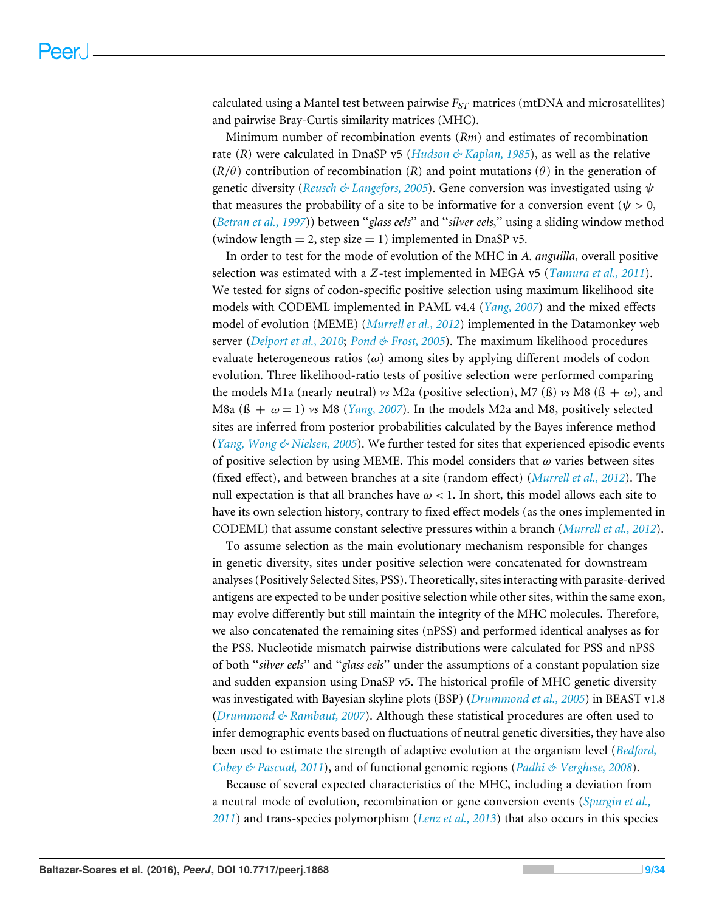calculated using a Mantel test between pairwise *FST* matrices (mtDNA and microsatellites) and pairwise Bray-Curtis similarity matrices (MHC).

Minimum number of recombination events (*Rm*) and estimates of recombination rate (*R*) were calculated in DnaSP v5 (*[Hudson & Kaplan, 1985](#page-28-13)*), as well as the relative  $(R/\theta)$  contribution of recombination (*R*) and point mutations ( $\theta$ ) in the generation of genetic diversity (*[Reusch & Langefors, 2005](#page-31-9)*). Gene conversion was investigated using ψ that measures the probability of a site to be informative for a conversion event ( $\psi > 0$ , (*[Betran et al., 1997](#page-26-6)*)) between ''*glass eels*'' and ''*silver eels*,'' using a sliding window method (window length  $= 2$ , step size  $= 1$ ) implemented in DnaSP v5.

In order to test for the mode of evolution of the MHC in *A. anguilla*, overall positive selection was estimated with a *Z*-test implemented in MEGA v5 (*[Tamura et al., 2011](#page-32-11)*). We tested for signs of codon-specific positive selection using maximum likelihood site models with CODEML implemented in PAML v4.4 (*[Yang, 2007](#page-33-3)*) and the mixed effects model of evolution (MEME) (*[Murrell et al., 2012](#page-30-8)*) implemented in the Datamonkey web server (*[Delport et al., 2010](#page-27-8)*; *[Pond & Frost, 2005](#page-30-9)*). The maximum likelihood procedures evaluate heterogeneous ratios  $(\omega)$  among sites by applying different models of codon evolution. Three likelihood-ratio tests of positive selection were performed comparing the models M1a (nearly neutral) *vs* M2a (positive selection), M7 (ß) *vs* M8 (ß +  $\omega$ ), and M8a  $(6 + \omega = 1)$  vs M8 (*[Yang, 2007](#page-33-3)*). In the models M2a and M8, positively selected sites are inferred from posterior probabilities calculated by the Bayes inference method (*[Yang, Wong & Nielsen, 2005](#page-33-4)*). We further tested for sites that experienced episodic events of positive selection by using MEME. This model considers that  $\omega$  varies between sites (fixed effect), and between branches at a site (random effect) (*[Murrell et al., 2012](#page-30-8)*). The null expectation is that all branches have  $\omega$  < 1. In short, this model allows each site to have its own selection history, contrary to fixed effect models (as the ones implemented in CODEML) that assume constant selective pressures within a branch (*[Murrell et al., 2012](#page-30-8)*).

To assume selection as the main evolutionary mechanism responsible for changes in genetic diversity, sites under positive selection were concatenated for downstream analyses (Positively Selected Sites, PSS). Theoretically, sites interacting with parasite-derived antigens are expected to be under positive selection while other sites, within the same exon, may evolve differently but still maintain the integrity of the MHC molecules. Therefore, we also concatenated the remaining sites (nPSS) and performed identical analyses as for the PSS. Nucleotide mismatch pairwise distributions were calculated for PSS and nPSS of both ''*silver eels*'' and ''*glass eels*'' under the assumptions of a constant population size and sudden expansion using DnaSP v5. The historical profile of MHC genetic diversity was investigated with Bayesian skyline plots (BSP) (*[Drummond et al., 2005](#page-27-9)*) in BEAST v1.8 (*[Drummond & Rambaut, 2007](#page-27-10)*). Although these statistical procedures are often used to infer demographic events based on fluctuations of neutral genetic diversities, they have also been used to estimate the strength of adaptive evolution at the organism level (*[Bedford,](#page-26-7) [Cobey & Pascual, 2011](#page-26-7)*), and of functional genomic regions (*[Padhi & Verghese, 2008](#page-30-10)*).

Because of several expected characteristics of the MHC, including a deviation from a neutral mode of evolution, recombination or gene conversion events (*[Spurgin et al.,](#page-31-10) [2011](#page-31-10)*) and trans-species polymorphism (*[Lenz et al., 2013](#page-29-12)*) that also occurs in this species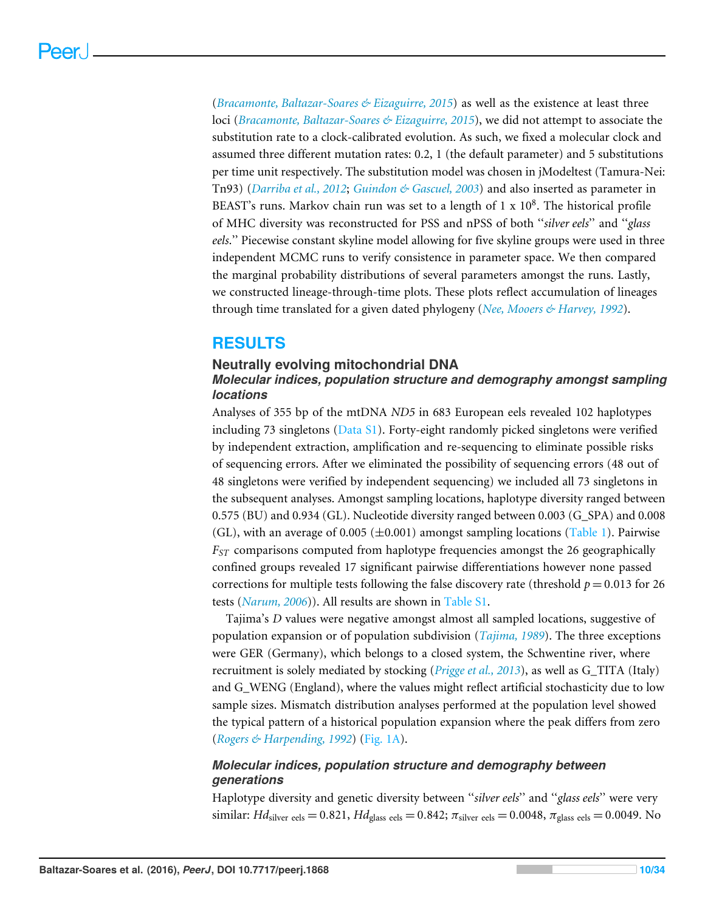(*[Bracamonte, Baltazar-Soares & Eizaguirre, 2015](#page-27-6)*) as well as the existence at least three loci (*[Bracamonte, Baltazar-Soares & Eizaguirre, 2015](#page-27-6)*), we did not attempt to associate the substitution rate to a clock-calibrated evolution. As such, we fixed a molecular clock and assumed three different mutation rates: 0.2, 1 (the default parameter) and 5 substitutions per time unit respectively. The substitution model was chosen in jModeltest (Tamura-Nei: Tn93) (*[Darriba et al., 2012](#page-27-11)*; *[Guindon & Gascuel, 2003](#page-28-14)*) and also inserted as parameter in BEAST's runs. Markov chain run was set to a length of  $1 \times 10^8$ . The historical profile of MHC diversity was reconstructed for PSS and nPSS of both ''*silver eels*'' and ''*glass eels*.'' Piecewise constant skyline model allowing for five skyline groups were used in three independent MCMC runs to verify consistence in parameter space. We then compared the marginal probability distributions of several parameters amongst the runs. Lastly, we constructed lineage-through-time plots. These plots reflect accumulation of lineages through time translated for a given dated phylogeny (*[Nee, Mooers & Harvey, 1992](#page-30-11)*).

# **RESULTS**

# **Neutrally evolving mitochondrial DNA**

# *Molecular indices, population structure and demography amongst sampling locations*

Analyses of 355 bp of the mtDNA *ND5* in 683 European eels revealed 102 haplotypes including 73 singletons ( $Data S1$ ). Forty-eight randomly picked singletons were verified by independent extraction, amplification and re-sequencing to eliminate possible risks of sequencing errors. After we eliminated the possibility of sequencing errors (48 out of 48 singletons were verified by independent sequencing) we included all 73 singletons in the subsequent analyses. Amongst sampling locations, haplotype diversity ranged between 0.575 (BU) and 0.934 (GL). Nucleotide diversity ranged between 0.003 (G\_SPA) and 0.008 (GL), with an average of 0.005 ( $\pm$ 0.001) amongst sampling locations [\(Table 1\)](#page-4-0). Pairwise *FST* comparisons computed from haplotype frequencies amongst the 26 geographically confined groups revealed 17 significant pairwise differentiations however none passed corrections for multiple tests following the false discovery rate (threshold  $p = 0.013$  for 26 tests (*[Narum, 2006](#page-30-12)*)). All results are shown in [Table S1.](http://dx.doi.org/10.7717/peerj.1868/supp-5)

Tajima's *D* values were negative amongst almost all sampled locations, suggestive of population expansion or of population subdivision (*[Tajima, 1989](#page-32-6)*). The three exceptions were GER (Germany), which belongs to a closed system, the Schwentine river, where recruitment is solely mediated by stocking (*[Prigge et al., 2013](#page-30-5)*), as well as G\_TITA (Italy) and G\_WENG (England), where the values might reflect artificial stochasticity due to low sample sizes. Mismatch distribution analyses performed at the population level showed the typical pattern of a historical population expansion where the peak differs from zero (*[Rogers & Harpending, 1992](#page-31-6)*) [\(Fig. 1A\)](#page-10-0).

# *Molecular indices, population structure and demography between generations*

Haplotype diversity and genetic diversity between ''*silver eels*'' and ''*glass eels*'' were very similar: *Hd*<sub>silver eels</sub> = 0.821, *Hd*<sub>glass eels</sub> = 0.842;  $\pi$ <sub>silver eels</sub> = 0.0048,  $\pi$ <sub>glass eels</sub> = 0.0049. No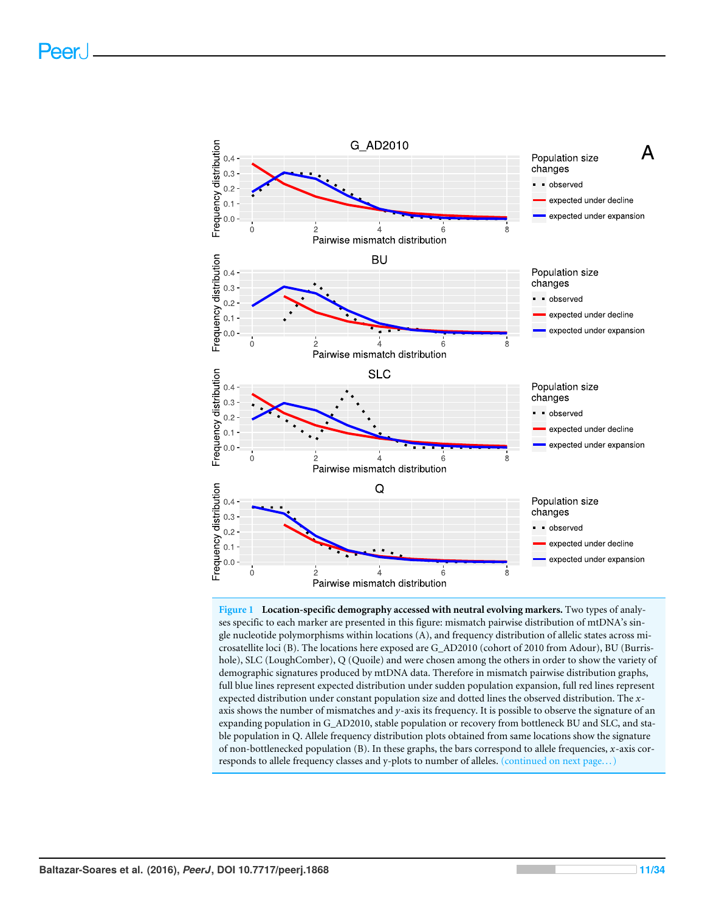<span id="page-10-0"></span>

**Figure 1 Location-specific demography accessed with neutral evolving markers.** Two types of analyses specific to each marker are presented in this figure: mismatch pairwise distribution of mtDNA's single nucleotide polymorphisms within locations (A), and frequency distribution of allelic states across microsatellite loci (B). The locations here exposed are G\_AD2010 (cohort of 2010 from Adour), BU (Burrishole), SLC (LoughComber), Q (Quoile) and were chosen among the others in order to show the variety of demographic signatures produced by mtDNA data. Therefore in mismatch pairwise distribution graphs, full blue lines represent expected distribution under sudden population expansion, full red lines represent expected distribution under constant population size and dotted lines the observed distribution. The *x*axis shows the number of mismatches and *y*-axis its frequency. It is possible to observe the signature of an expanding population in G\_AD2010, stable population or recovery from bottleneck BU and SLC, and stable population in Q. Allele frequency distribution plots obtained from same locations show the signature of non-bottlenecked population (B). In these graphs, the bars correspond to allele frequencies, *x*-axis corresponds to allele frequency classes and y-plots to number of alleles. (continued on next page... )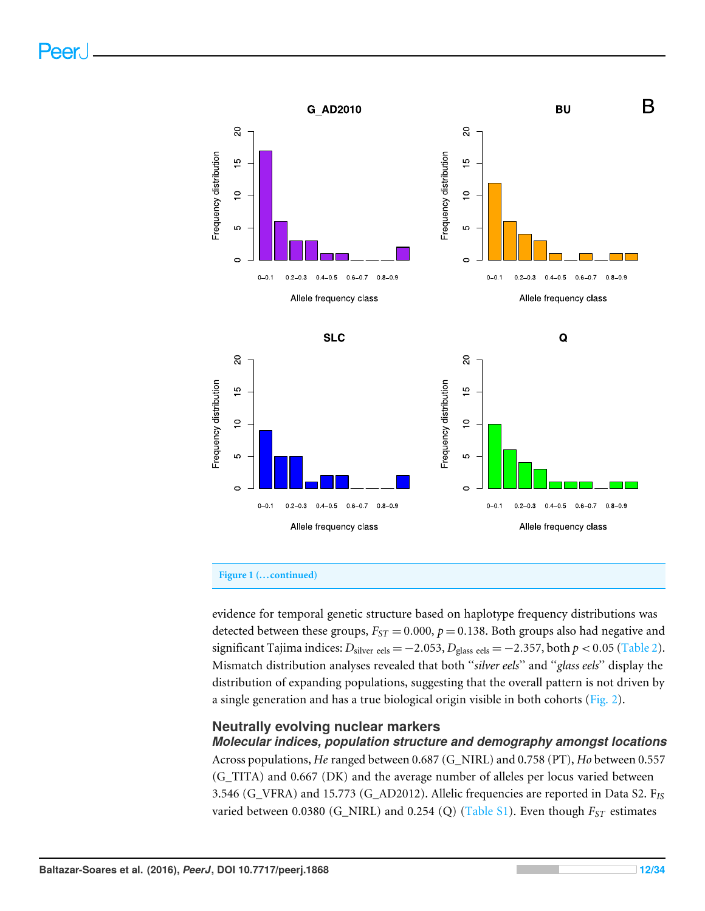

#### **Figure 1 (...continued)**

evidence for temporal genetic structure based on haplotype frequency distributions was detected between these groups,  $F_{ST} = 0.000$ ,  $p = 0.138$ . Both groups also had negative and significant Tajima indices:  $D_{\text{silver eels}} = -2.053$ ,  $D_{\text{glass eels}} = -2.357$ , both  $p < 0.05$  [\(Table 2\)](#page-12-0). Mismatch distribution analyses revealed that both ''*silver eels*'' and ''*glass eels*'' display the distribution of expanding populations, suggesting that the overall pattern is not driven by a single generation and has a true biological origin visible in both cohorts [\(Fig. 2\)](#page-13-0).

#### **Neutrally evolving nuclear markers**

*Molecular indices, population structure and demography amongst locations* Across populations, *He* ranged between 0.687 (G\_NIRL) and 0.758 (PT), *Ho* between 0.557 (G\_TITA) and 0.667 (DK) and the average number of alleles per locus varied between 3.546 (G\_VFRA) and 15.773 (G\_AD2012). Allelic frequencies are reported in Data S2. F*IS* varied between 0.0380 (G\_NIRL) and 0.254 (Q) [\(Table S1\)](http://dx.doi.org/10.7717/peerj.1868/supp-5). Even though *FST* estimates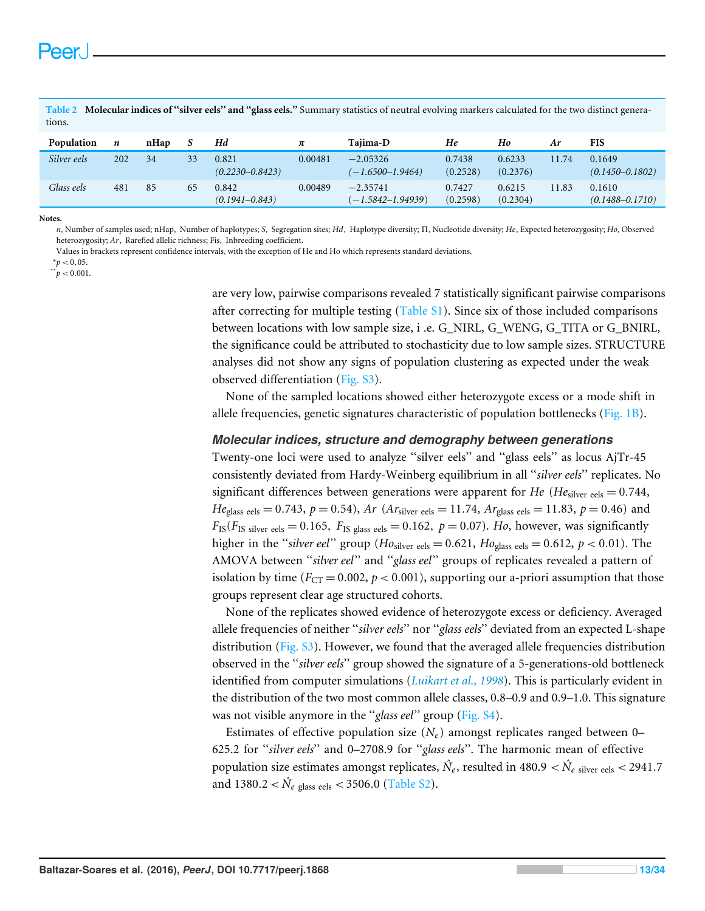<span id="page-12-0"></span>**Table 2 Molecular indices of ''silver eels'' and ''glass eels.''** Summary statistics of neutral evolving markers calculated for the two distinct generations.

| Population  | n   | nHap |    | Hd                           | π       | Tajima-D                           | He                 | Ho                 | Ar    | <b>FIS</b>                    |
|-------------|-----|------|----|------------------------------|---------|------------------------------------|--------------------|--------------------|-------|-------------------------------|
| Silver eels | 202 | 34   | 33 | 0.821<br>$(0.2230 - 0.8423)$ | 0.00481 | $-2.05326$<br>$(-1.6500 - 1.9464)$ | 0.7438<br>(0.2528) | 0.6233<br>(0.2376) | 11.74 | 0.1649<br>$(0.1450 - 0.1802)$ |
| Glass eels  | 481 | 85   | 65 | 0.842<br>$(0.1941 - 0.843)$  | 0.00489 | $-2.35741$<br>(–1.5842–1.94939)    | 0.7427<br>(0.2598) | 0.6215<br>(0.2304) | 11.83 | 0.1610<br>$(0.1488 - 0.1710)$ |

**Notes.**

*n*, Number of samples used; nHap, Number of haplotypes; *S*, Segregation sites; *Hd*, Haplotype diversity; 5, Nucleotide diversity; *He*, Expected heterozygosity; *Ho*, Observed heterozygosity; *Ar*, Rarefied allelic richness; Fis, Inbreeding coefficient.

Values in brackets represent confidence intervals, with the exception of He and Ho which represents standard deviations.

 $*^*p < 0,05.$ 

 $p^*$   $p < 0.001$ .

are very low, pairwise comparisons revealed 7 statistically significant pairwise comparisons after correcting for multiple testing [\(Table S1\)](http://dx.doi.org/10.7717/peerj.1868/supp-5). Since six of those included comparisons between locations with low sample size, i .e. G\_NIRL, G\_WENG, G\_TITA or G\_BNIRL, the significance could be attributed to stochasticity due to low sample sizes. STRUCTURE analyses did not show any signs of population clustering as expected under the weak observed differentiation [\(Fig. S3\)](http://dx.doi.org/10.7717/peerj.1868/supp-11).

None of the sampled locations showed either heterozygote excess or a mode shift in allele frequencies, genetic signatures characteristic of population bottlenecks [\(Fig. 1B\)](#page-10-0).

#### *Molecular indices, structure and demography between generations*

Twenty-one loci were used to analyze ''silver eels'' and ''glass eels'' as locus AjTr-45 consistently deviated from Hardy-Weinberg equilibrium in all ''*silver eels*'' replicates. No significant differences between generations were apparent for *He* (*He*silver eels = 0.744, *He*<sub>glass eels</sub> = 0.743, *p* = 0.54), *Ar* (*Ar*<sub>silver eels</sub> = 11.74, *Ar*<sub>glass eels</sub> = 11.83, *p* = 0.46) and  $F_{IS}(F_{IS \text{ silver cells}} = 0.165, F_{IS \text{ glass eels}} = 0.162, p = 0.07)$ . *Ho*, however, was significantly higher in the "*silver eel*" group ( $Ho<sub>silver</sub>$  eels = 0.621,  $Ho<sub>glass</sub>$  eels = 0.612,  $p < 0.01$ ). The AMOVA between ''*silver eel*'' and ''*glass eel*'' groups of replicates revealed a pattern of isolation by time ( $F_{CT} = 0.002$ ,  $p < 0.001$ ), supporting our a-priori assumption that those groups represent clear age structured cohorts.

None of the replicates showed evidence of heterozygote excess or deficiency. Averaged allele frequencies of neither ''*silver eels*'' nor ''*glass eels*'' deviated from an expected L-shape distribution [\(Fig. S3\)](http://dx.doi.org/10.7717/peerj.1868/supp-11). However, we found that the averaged allele frequencies distribution observed in the ''*silver eels*'' group showed the signature of a 5-generations-old bottleneck identified from computer simulations (*[Luikart et al., 1998](#page-29-10)*). This is particularly evident in the distribution of the two most common allele classes, 0.8–0.9 and 0.9–1.0. This signature was not visible anymore in the ''*glass eel*'' group [\(Fig. S4\)](http://dx.doi.org/10.7717/peerj.1868/supp-12).

Estimates of effective population size  $(N_e)$  amongst replicates ranged between 0– 625.2 for ''*silver eels*'' and 0–2708.9 for ''*glass eels*''. The harmonic mean of effective population size estimates amongst replicates,  $\hat{N_e}$ , resulted in 480.9  $<$   $\hat{N_e}$   $_{\rm silver\;eels}$   $<$  2941.7 and  $1380.2 < \hat{N}_e$  glass eels  $< 3506.0$  [\(Table S2\)](http://dx.doi.org/10.7717/peerj.1868/supp-6).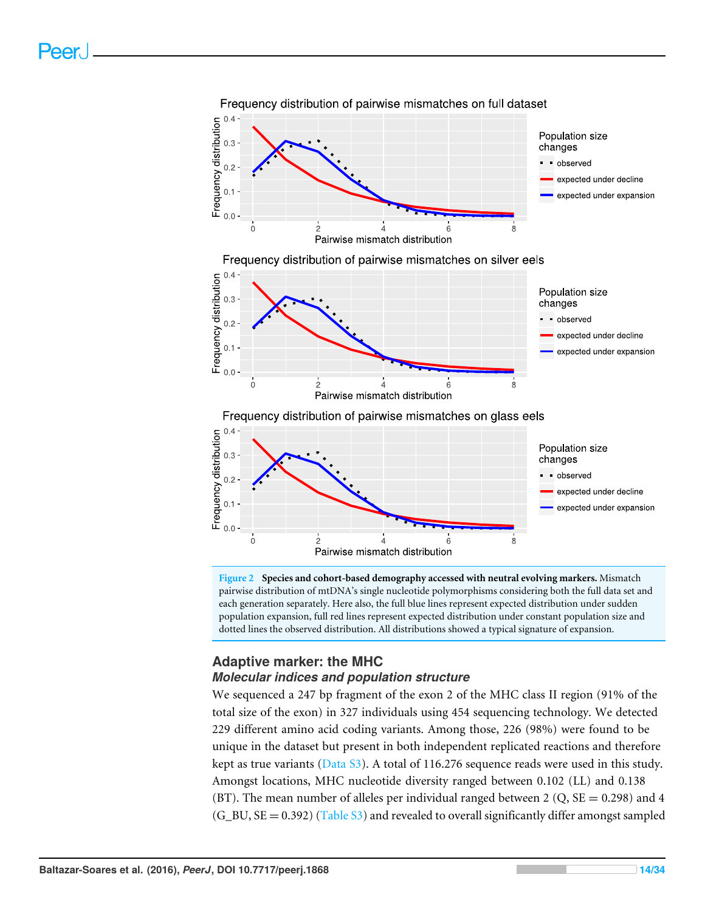<span id="page-13-0"></span>

**Figure 2 Species and cohort-based demography accessed with neutral evolving markers.** Mismatch pairwise distribution of mtDNA's single nucleotide polymorphisms considering both the full data set and each generation separately. Here also, the full blue lines represent expected distribution under sudden population expansion, full red lines represent expected distribution under constant population size and dotted lines the observed distribution. All distributions showed a typical signature of expansion.

# **Adaptive marker: the MHC** *Molecular indices and population structure*

We sequenced a 247 bp fragment of the exon 2 of the MHC class II region (91% of the total size of the exon) in 327 individuals using 454 sequencing technology. We detected 229 different amino acid coding variants. Among those, 226 (98%) were found to be unique in the dataset but present in both independent replicated reactions and therefore kept as true variants (Data  $S3$ ). A total of 116.276 sequence reads were used in this study. Amongst locations, MHC nucleotide diversity ranged between 0.102 (LL) and 0.138 (BT). The mean number of alleles per individual ranged between 2 (Q,  $SE = 0.298$ ) and 4  $(G_BU, SE = 0.392)$  [\(Table S3\)](http://dx.doi.org/10.7717/peerj.1868/supp-7) and revealed to overall significantly differ amongst sampled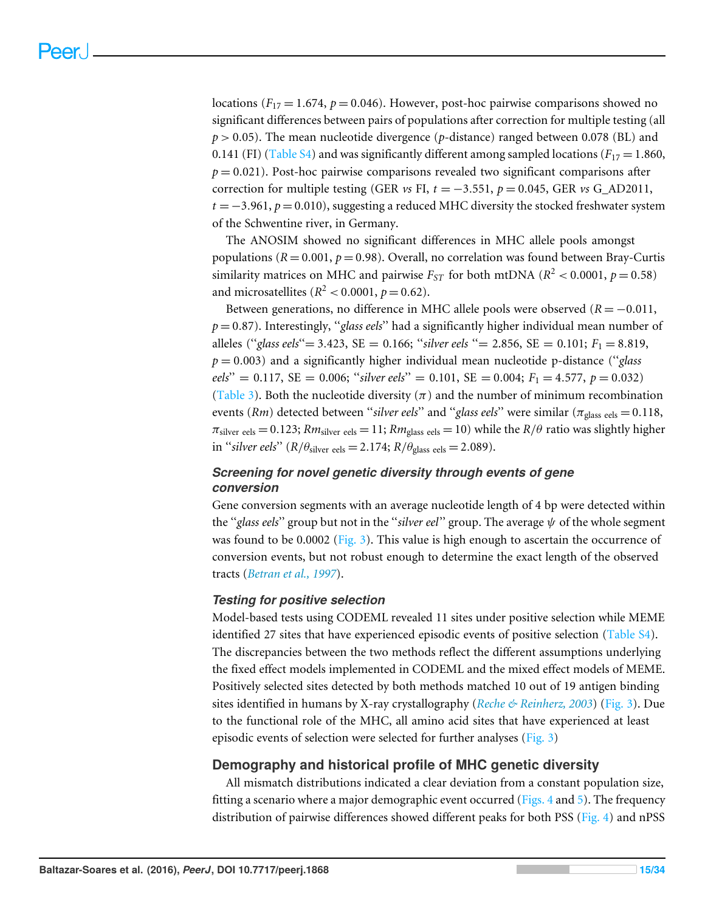locations ( $F_{17} = 1.674$ ,  $p = 0.046$ ). However, post-hoc pairwise comparisons showed no significant differences between pairs of populations after correction for multiple testing (all *p* > 0.05). The mean nucleotide divergence (*p*-distance) ranged between 0.078 (BL) and 0.141 (FI) [\(Table S4\)](http://dx.doi.org/10.7717/peerj.1868/supp-8) and was significantly different among sampled locations ( $F_{17} = 1.860$ ,  $p = 0.021$ ). Post-hoc pairwise comparisons revealed two significant comparisons after correction for multiple testing (GER  $vs$  FI,  $t = -3.551$ ,  $p = 0.045$ , GER  $vs$  G\_AD2011, *t* = −3.961, *p* = 0.010), suggesting a reduced MHC diversity the stocked freshwater system of the Schwentine river, in Germany.

The ANOSIM showed no significant differences in MHC allele pools amongst populations ( $R = 0.001$ ,  $p = 0.98$ ). Overall, no correlation was found between Bray-Curtis similarity matrices on MHC and pairwise  $F_{ST}$  for both mtDNA ( $R^2$  < 0.0001,  $p = 0.58$ ) and microsatellites ( $R^2$  < 0.0001,  $p$  = 0.62).

Between generations, no difference in MHC allele pools were observed (*R* = −0.011, *p* = 0.87). Interestingly, ''*glass eels*'' had a significantly higher individual mean number of alleles (''*glass eels*''= 3.423, SE = 0.166; ''*silver eels* ''= 2.856, SE = 0.101; *F*<sup>1</sup> = 8.819, *p* = 0.003) and a significantly higher individual mean nucleotide p-distance (''*glass*  $eels' = 0.117$ , SE = 0.006; "*silver eels*" = 0.101, SE = 0.004;  $F_1 = 4.577$ ,  $p = 0.032$ ) [\(Table 3\)](#page-15-0). Both the nucleotide diversity  $(\pi)$  and the number of minimum recombination events (*Rm*) detected between "*silver eels*" and "*glass eels*" were similar ( $\pi_{\text{glass eels}} = 0.118$ ,  $\pi_{\text{silver}}$  eels = 0.123;  $Rm_{\text{silver}}$  eels = 11;  $Rm_{\text{glass}}$  eels = 10) while the  $R/\theta$  ratio was slightly higher in "*silver eels*" ( $R/\theta_{\text{silver eels}} = 2.174$ ;  $R/\theta_{\text{glass eels}} = 2.089$ ).

### *Screening for novel genetic diversity through events of gene conversion*

Gene conversion segments with an average nucleotide length of 4 bp were detected within the ''*glass eels*'' group but not in the ''*silver eel*'' group. The average ψ of the whole segment was found to be 0.0002 [\(Fig. 3\)](#page-16-0). This value is high enough to ascertain the occurrence of conversion events, but not robust enough to determine the exact length of the observed tracts (*[Betran et al., 1997](#page-26-6)*).

### *Testing for positive selection*

Model-based tests using CODEML revealed 11 sites under positive selection while MEME identified 27 sites that have experienced episodic events of positive selection [\(Table S4\)](http://dx.doi.org/10.7717/peerj.1868/supp-8). The discrepancies between the two methods reflect the different assumptions underlying the fixed effect models implemented in CODEML and the mixed effect models of MEME. Positively selected sites detected by both methods matched 10 out of 19 antigen binding sites identified in humans by X-ray crystallography (*[Reche & Reinherz, 2003](#page-31-11)*) [\(Fig. 3\)](#page-16-0). Due to the functional role of the MHC, all amino acid sites that have experienced at least episodic events of selection were selected for further analyses [\(Fig. 3\)](#page-16-0)

### **Demography and historical profile of MHC genetic diversity**

All mismatch distributions indicated a clear deviation from a constant population size, fitting a scenario where a major demographic event occurred [\(Figs. 4](#page-17-0) and [5\)](#page-18-0). The frequency distribution of pairwise differences showed different peaks for both PSS [\(Fig. 4\)](#page-17-0) and nPSS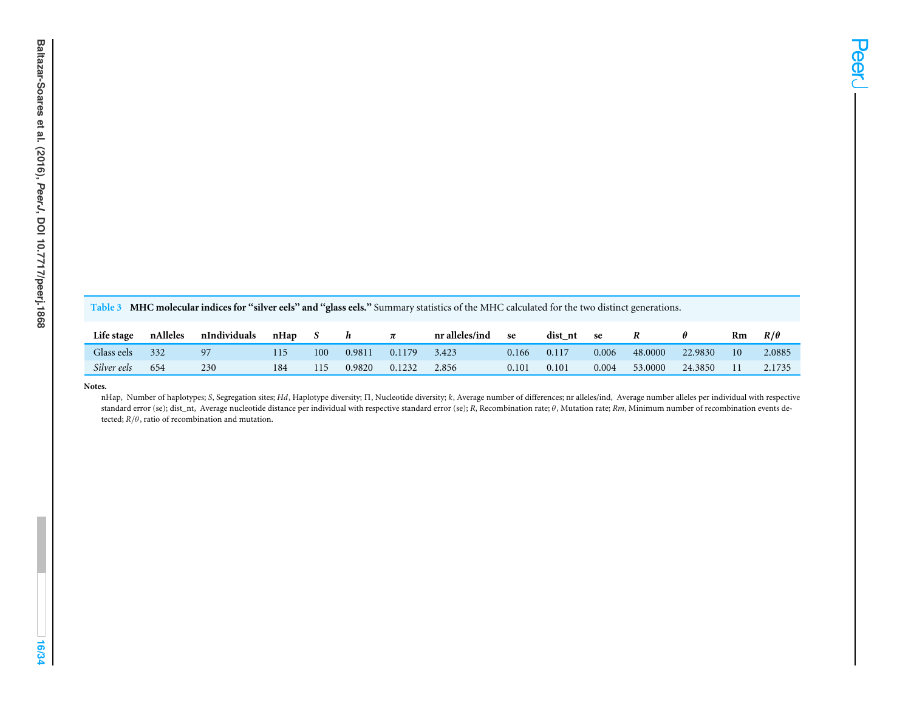<span id="page-15-0"></span>Table 3 MHC molecular indices for "silver eels" and "glass eels." Summary statistics of the MHC calculated for the two distinct generations.

| Life stage  | nAlleles | nIndividuals | nHap |     |        |        | nr alleles/ind | se         | dist nt | se    |         |         | Rm | $R/\theta$ |
|-------------|----------|--------------|------|-----|--------|--------|----------------|------------|---------|-------|---------|---------|----|------------|
| Glass eels  | 332      | 97           |      | 100 | 0.9811 | 0.1179 | 3.423          | J.166      | 0.117   | 0.006 | 48,0000 | 22.9830 | 10 | 2.0885     |
| Silver eels | 654      | 230          | 184  | 115 | 0.9820 | 0.1232 | 2.856          | $0.10^{1}$ | 0.101   | 0.004 | 53,0000 | 24.3850 |    | 2.1735     |

#### **Notes.**

 nHap, Number of haplotypes; *S*, Segregation sites; *Hd*, Haplotype diversity; <sup>5</sup>, Nucleotide diversity; *k*, Average number of differences; nr alleles/ind, Average number alleles per individual with respectivestandard error (se); dist\_nt, Average nucleotide distance per individual with respective standard error (se); *<sup>R</sup>*, Recombination rate; θ, Mutation rate; *Rm*, Minimum number of recombination events detected; *<sup>R</sup>*/θ, ratio of recombination and mutation.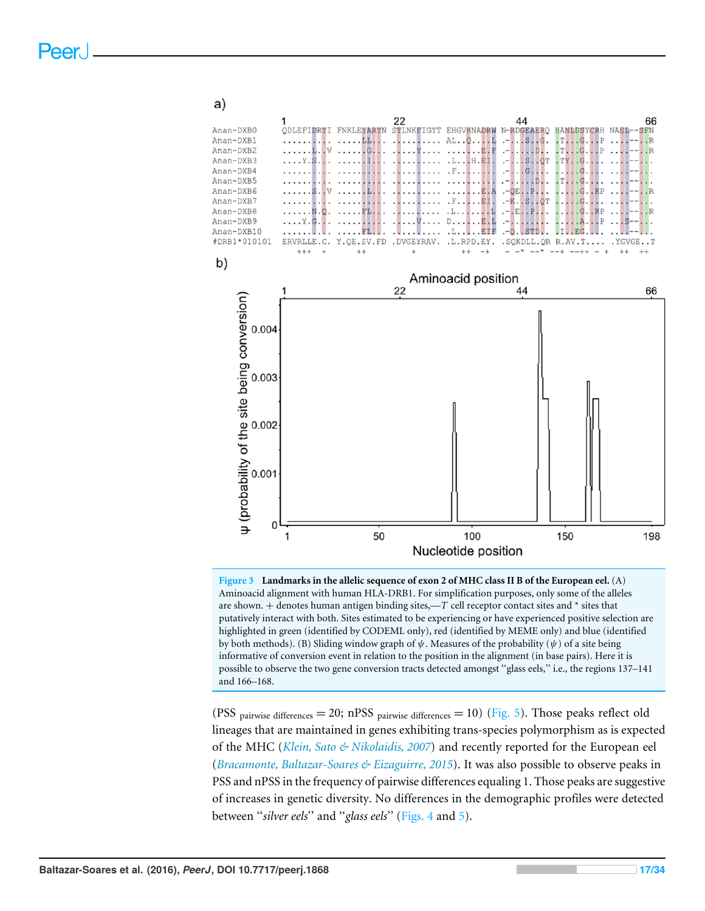<span id="page-16-0"></span>

**Figure 3 Landmarks in the allelic sequence of exon 2 of MHC class II B of the European eel.** (A) Aminoacid alignment with human HLA-DRB1. For simplification purposes, only some of the alleles are shown. + denotes human antigen binding sites,—*T* cell receptor contact sites and \* sites that putatively interact with both. Sites estimated to be experiencing or have experienced positive selection are highlighted in green (identified by CODEML only), red (identified by MEME only) and blue (identified by both methods). (B) Sliding window graph of  $\psi$ . Measures of the probability ( $\psi$ ) of a site being informative of conversion event in relation to the position in the alignment (in base pairs). Here it is possible to observe the two gene conversion tracts detected amongst ''glass eels,'' i.e., the regions 137–141 and 166–168.

(PSS pairwise differences = 20; nPSS pairwise differences = 10) [\(Fig. 5\)](#page-18-0). Those peaks reflect old lineages that are maintained in genes exhibiting trans-species polymorphism as is expected of the MHC (*[Klein, Sato & Nikolaidis, 2007](#page-29-1)*) and recently reported for the European eel (*[Bracamonte, Baltazar-Soares & Eizaguirre, 2015](#page-27-6)*). It was also possible to observe peaks in PSS and nPSS in the frequency of pairwise differences equaling 1. Those peaks are suggestive of increases in genetic diversity. No differences in the demographic profiles were detected between ''*silver eels*'' and ''*glass eels*'' [\(Figs. 4](#page-17-0) and [5\)](#page-18-0).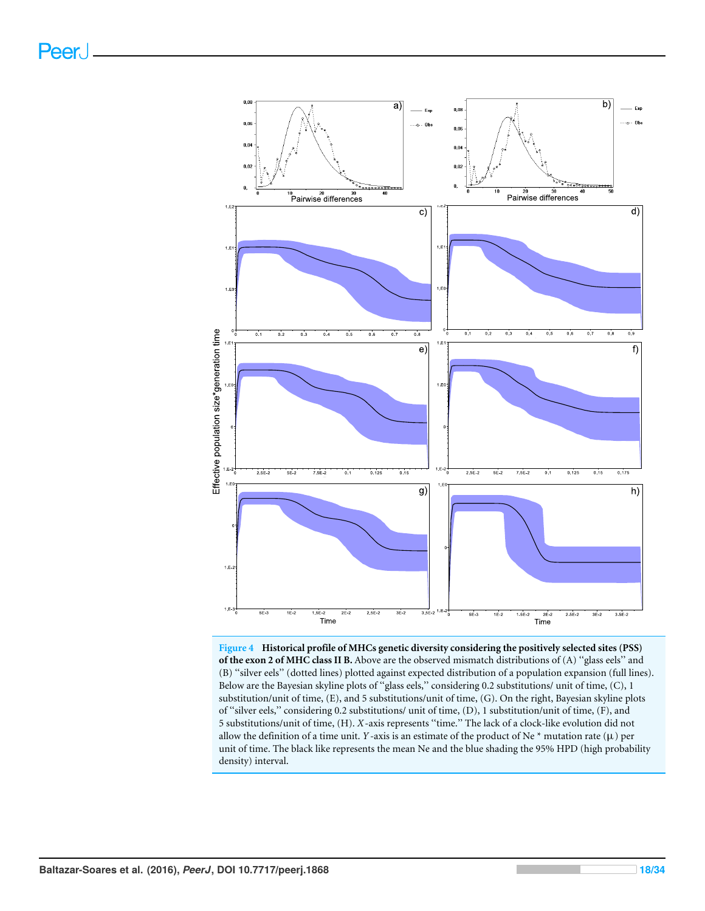<span id="page-17-0"></span>

**Figure 4 Historical profile of MHCs genetic diversity considering the positively selected sites (PSS) of the exon 2 of MHC class II B.** Above are the observed mismatch distributions of (A) ''glass eels'' and (B) ''silver eels'' (dotted lines) plotted against expected distribution of a population expansion (full lines). Below are the Bayesian skyline plots of ''glass eels,'' considering 0.2 substitutions/ unit of time, (C), 1 substitution/unit of time, (E), and 5 substitutions/unit of time, (G). On the right, Bayesian skyline plots of ''silver eels,'' considering 0.2 substitutions/ unit of time, (D), 1 substitution/unit of time, (F), and 5 substitutions/unit of time, (H). *X*-axis represents ''time.'' The lack of a clock-like evolution did not allow the definition of a time unit. *Y* -axis is an estimate of the product of Ne  $*$  mutation rate ( $\mu$ ) per unit of time. The black like represents the mean Ne and the blue shading the 95% HPD (high probability density) interval.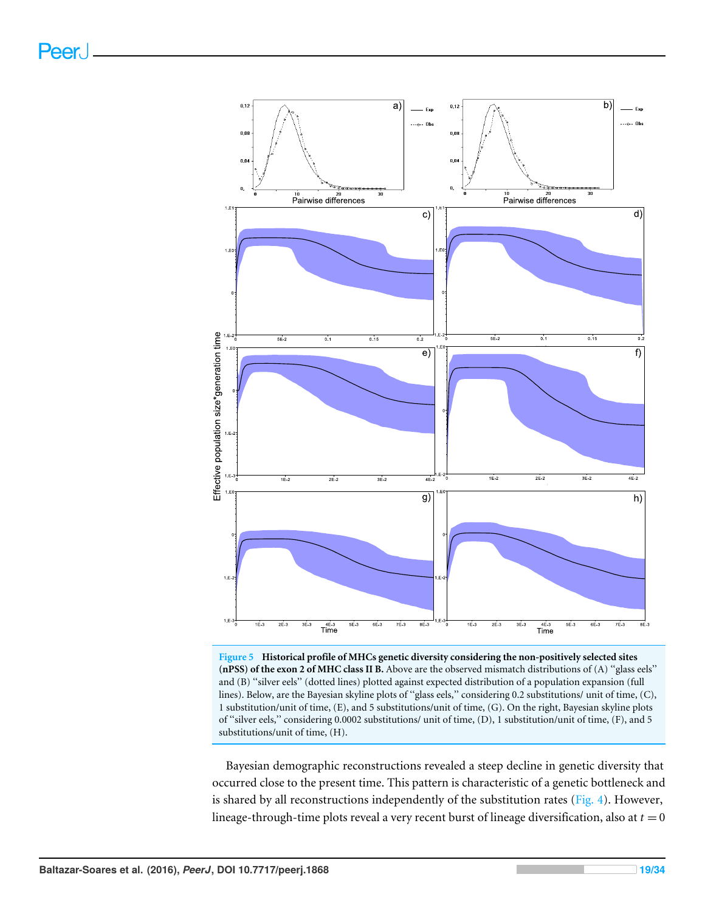<span id="page-18-0"></span>

**Figure 5 Historical profile of MHCs genetic diversity considering the non-positively selected sites (nPSS) of the exon 2 of MHC class II B.** Above are the observed mismatch distributions of (A) ''glass eels'' and (B) ''silver eels'' (dotted lines) plotted against expected distribution of a population expansion (full lines). Below, are the Bayesian skyline plots of ''glass eels,'' considering 0.2 substitutions/ unit of time, (C), 1 substitution/unit of time, (E), and 5 substitutions/unit of time, (G). On the right, Bayesian skyline plots of ''silver eels,'' considering 0.0002 substitutions/ unit of time, (D), 1 substitution/unit of time, (F), and 5 substitutions/unit of time, (H).

Bayesian demographic reconstructions revealed a steep decline in genetic diversity that occurred close to the present time. This pattern is characteristic of a genetic bottleneck and is shared by all reconstructions independently of the substitution rates [\(Fig. 4\)](#page-17-0). However, lineage-through-time plots reveal a very recent burst of lineage diversification, also at  $t = 0$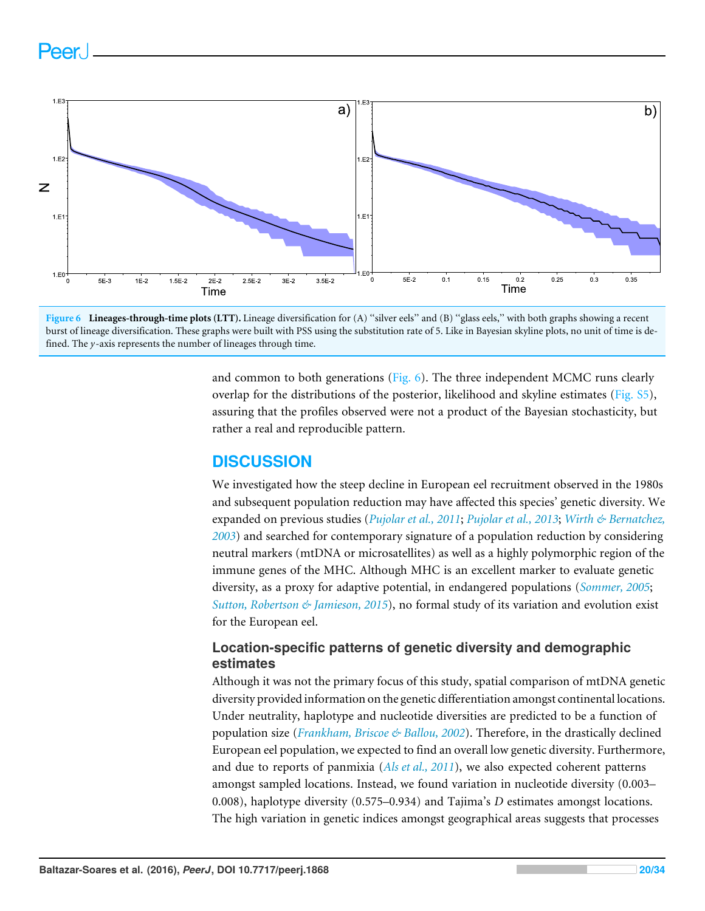# <span id="page-19-0"></span>Peer.





and common to both generations (Fig.  $6$ ). The three independent MCMC runs clearly overlap for the distributions of the posterior, likelihood and skyline estimates [\(Fig. S5\)](http://dx.doi.org/10.7717/peerj.1868/supp-13), assuring that the profiles observed were not a product of the Bayesian stochasticity, but rather a real and reproducible pattern.

# **DISCUSSION**

We investigated how the steep decline in European eel recruitment observed in the 1980s and subsequent population reduction may have affected this species' genetic diversity. We expanded on previous studies (*[Pujolar et al., 2011](#page-30-6)*; *[Pujolar et al., 2013](#page-31-5)*; *[Wirth & Bernatchez,](#page-33-1) [2003](#page-33-1)*) and searched for contemporary signature of a population reduction by considering neutral markers (mtDNA or microsatellites) as well as a highly polymorphic region of the immune genes of the MHC. Although MHC is an excellent marker to evaluate genetic diversity, as a proxy for adaptive potential, in endangered populations (*[Sommer, 2005](#page-31-1)*; *[Sutton, Robertson & Jamieson, 2015](#page-32-5)*), no formal study of its variation and evolution exist for the European eel.

# **Location-specific patterns of genetic diversity and demographic estimates**

Although it was not the primary focus of this study, spatial comparison of mtDNA genetic diversity provided information on the genetic differentiation amongst continental locations. Under neutrality, haplotype and nucleotide diversities are predicted to be a function of population size (*[Frankham, Briscoe & Ballou, 2002](#page-28-0)*). Therefore, in the drastically declined European eel population, we expected to find an overall low genetic diversity. Furthermore, and due to reports of panmixia (*[Als et al., 2011](#page-26-4)*), we also expected coherent patterns amongst sampled locations. Instead, we found variation in nucleotide diversity (0.003– 0.008), haplotype diversity (0.575–0.934) and Tajima's *D* estimates amongst locations. The high variation in genetic indices amongst geographical areas suggests that processes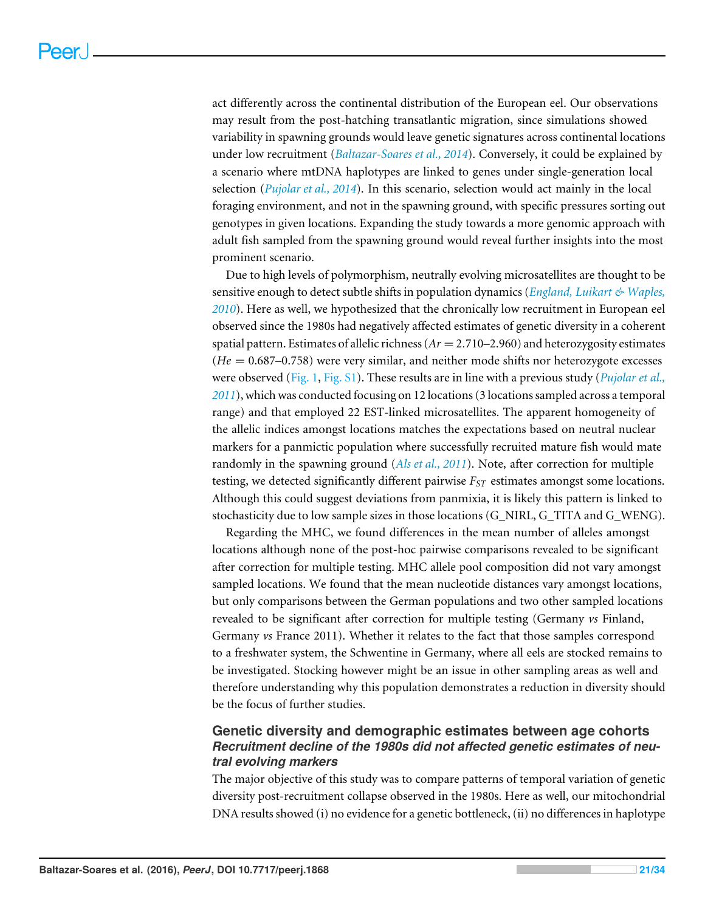act differently across the continental distribution of the European eel. Our observations may result from the post-hatching transatlantic migration, since simulations showed variability in spawning grounds would leave genetic signatures across continental locations under low recruitment (*[Baltazar-Soares et al., 2014](#page-26-2)*). Conversely, it could be explained by a scenario where mtDNA haplotypes are linked to genes under single-generation local selection (*[Pujolar et al., 2014](#page-31-4)*). In this scenario, selection would act mainly in the local foraging environment, and not in the spawning ground, with specific pressures sorting out genotypes in given locations. Expanding the study towards a more genomic approach with adult fish sampled from the spawning ground would reveal further insights into the most prominent scenario.

Due to high levels of polymorphism, neutrally evolving microsatellites are thought to be sensitive enough to detect subtle shifts in population dynamics (*[England, Luikart & Waples,](#page-28-1) [2010](#page-28-1)*). Here as well, we hypothesized that the chronically low recruitment in European eel observed since the 1980s had negatively affected estimates of genetic diversity in a coherent spatial pattern. Estimates of allelic richness (*Ar* = 2.710–2.960) and heterozygosity estimates (*He* = 0.687–0.758) were very similar, and neither mode shifts nor heterozygote excesses were observed [\(Fig. 1,](#page-10-0) [Fig. S1\)](http://dx.doi.org/10.7717/peerj.1868/supp-9). These results are in line with a previous study (*[Pujolar et al.,](#page-30-6) [2011](#page-30-6)*), which was conducted focusing on 12 locations (3 locations sampled across a temporal range) and that employed 22 EST-linked microsatellites. The apparent homogeneity of the allelic indices amongst locations matches the expectations based on neutral nuclear markers for a panmictic population where successfully recruited mature fish would mate randomly in the spawning ground (*[Als et al., 2011](#page-26-4)*). Note, after correction for multiple testing, we detected significantly different pairwise *FST* estimates amongst some locations. Although this could suggest deviations from panmixia, it is likely this pattern is linked to stochasticity due to low sample sizes in those locations (G\_NIRL, G\_TITA and G\_WENG).

Regarding the MHC, we found differences in the mean number of alleles amongst locations although none of the post-hoc pairwise comparisons revealed to be significant after correction for multiple testing. MHC allele pool composition did not vary amongst sampled locations. We found that the mean nucleotide distances vary amongst locations, but only comparisons between the German populations and two other sampled locations revealed to be significant after correction for multiple testing (Germany *vs* Finland, Germany *vs* France 2011). Whether it relates to the fact that those samples correspond to a freshwater system, the Schwentine in Germany, where all eels are stocked remains to be investigated. Stocking however might be an issue in other sampling areas as well and therefore understanding why this population demonstrates a reduction in diversity should be the focus of further studies.

# **Genetic diversity and demographic estimates between age cohorts** *Recruitment decline of the 1980s did not affected genetic estimates of neutral evolving markers*

The major objective of this study was to compare patterns of temporal variation of genetic diversity post-recruitment collapse observed in the 1980s. Here as well, our mitochondrial DNA results showed (i) no evidence for a genetic bottleneck, (ii) no differences in haplotype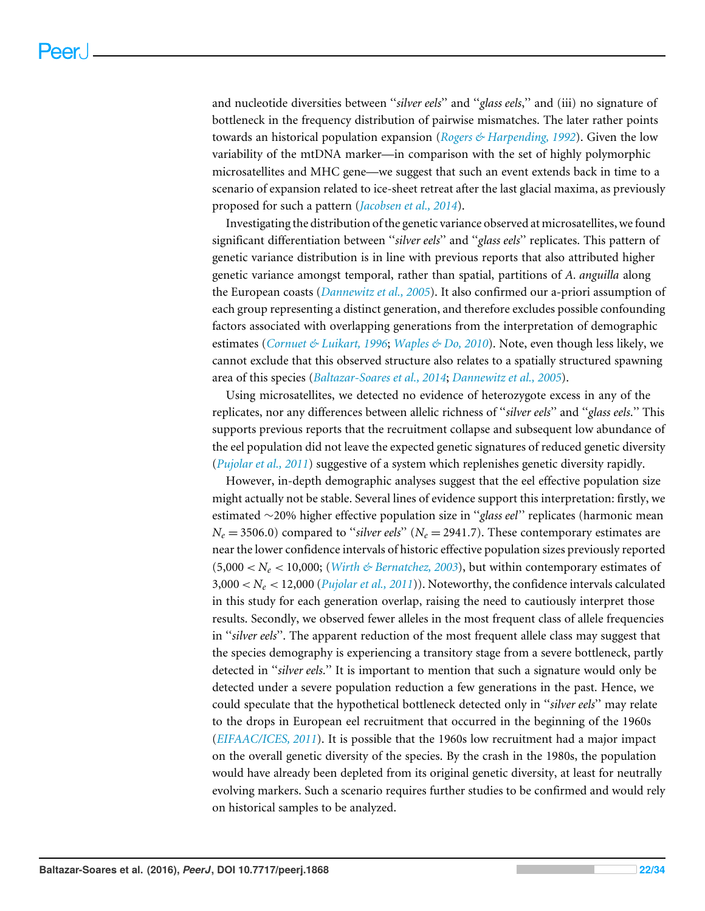and nucleotide diversities between ''*silver eels*'' and ''*glass eels*,'' and (iii) no signature of bottleneck in the frequency distribution of pairwise mismatches. The later rather points towards an historical population expansion (*[Rogers & Harpending, 1992](#page-31-6)*). Given the low variability of the mtDNA marker—in comparison with the set of highly polymorphic microsatellites and MHC gene—we suggest that such an event extends back in time to a scenario of expansion related to ice-sheet retreat after the last glacial maxima, as previously proposed for such a pattern (*[Jacobsen et al., 2014](#page-28-15)*).

Investigating the distribution of the genetic variance observed at microsatellites, we found significant differentiation between ''*silver eels*'' and ''*glass eels*'' replicates. This pattern of genetic variance distribution is in line with previous reports that also attributed higher genetic variance amongst temporal, rather than spatial, partitions of *A. anguilla* along the European coasts (*[Dannewitz et al., 2005](#page-27-3)*). It also confirmed our a-priori assumption of each group representing a distinct generation, and therefore excludes possible confounding factors associated with overlapping generations from the interpretation of demographic estimates (*[Cornuet & Luikart, 1996](#page-27-4)*; *[Waples & Do, 2010](#page-32-7)*). Note, even though less likely, we cannot exclude that this observed structure also relates to a spatially structured spawning area of this species (*[Baltazar-Soares et al., 2014](#page-26-2)*; *[Dannewitz et al., 2005](#page-27-3)*).

Using microsatellites, we detected no evidence of heterozygote excess in any of the replicates, nor any differences between allelic richness of ''*silver eels*'' and ''*glass eels*.'' This supports previous reports that the recruitment collapse and subsequent low abundance of the eel population did not leave the expected genetic signatures of reduced genetic diversity (*[Pujolar et al., 2011](#page-30-6)*) suggestive of a system which replenishes genetic diversity rapidly.

However, in-depth demographic analyses suggest that the eel effective population size might actually not be stable. Several lines of evidence support this interpretation: firstly, we estimated ∼20% higher effective population size in ''*glass eel*'' replicates (harmonic mean  $N_e = 3506.0$ ) compared to "*silver eels*" ( $N_e = 2941.7$ ). These contemporary estimates are near the lower confidence intervals of historic effective population sizes previously reported  $(5,000 < N_e < 10,000$ ; (*Wirth & Bernatchez*, 2003), but within contemporary estimates of  $3,000 < N_e < 12,000$  (*[Pujolar et al., 2011](#page-30-6)*)). Noteworthy, the confidence intervals calculated in this study for each generation overlap, raising the need to cautiously interpret those results. Secondly, we observed fewer alleles in the most frequent class of allele frequencies in ''*silver eels*''. The apparent reduction of the most frequent allele class may suggest that the species demography is experiencing a transitory stage from a severe bottleneck, partly detected in ''*silver eels*.'' It is important to mention that such a signature would only be detected under a severe population reduction a few generations in the past. Hence, we could speculate that the hypothetical bottleneck detected only in ''*silver eels*'' may relate to the drops in European eel recruitment that occurred in the beginning of the 1960s (*[EIFAAC/ICES, 2011](#page-27-1)*). It is possible that the 1960s low recruitment had a major impact on the overall genetic diversity of the species. By the crash in the 1980s, the population would have already been depleted from its original genetic diversity, at least for neutrally evolving markers. Such a scenario requires further studies to be confirmed and would rely on historical samples to be analyzed.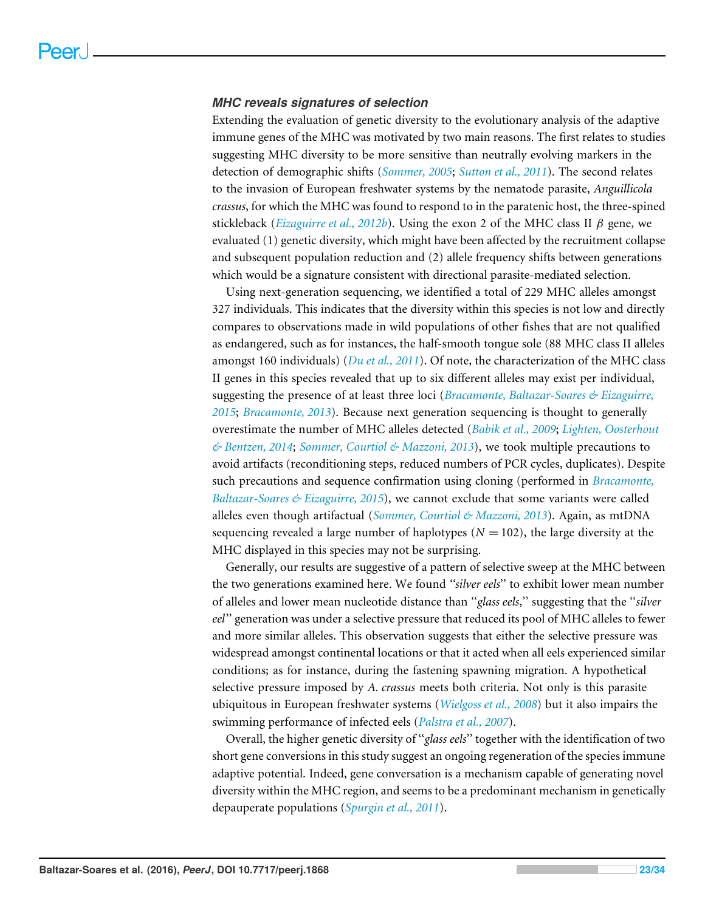#### *MHC reveals signatures of selection*

Extending the evaluation of genetic diversity to the evolutionary analysis of the adaptive immune genes of the MHC was motivated by two main reasons. The first relates to studies suggesting MHC diversity to be more sensitive than neutrally evolving markers in the detection of demographic shifts (*[Sommer, 2005](#page-31-1)*; *[Sutton et al., 2011](#page-32-2)*). The second relates to the invasion of European freshwater systems by the nematode parasite, *Anguillicola crassus*, for which the MHC was found to respond to in the paratenic host, the three-spined stickleback (*[Eizaguirre et al., 2012b](#page-28-5)*). Using the exon 2 of the MHC class II  $\beta$  gene, we evaluated (1) genetic diversity, which might have been affected by the recruitment collapse and subsequent population reduction and (2) allele frequency shifts between generations which would be a signature consistent with directional parasite-mediated selection.

Using next-generation sequencing, we identified a total of 229 MHC alleles amongst 327 individuals. This indicates that the diversity within this species is not low and directly compares to observations made in wild populations of other fishes that are not qualified as endangered, such as for instances, the half-smooth tongue sole (88 MHC class II alleles amongst 160 individuals) (*[Du et al., 2011](#page-27-12)*). Of note, the characterization of the MHC class II genes in this species revealed that up to six different alleles may exist per individual, suggesting the presence of at least three loci (*[Bracamonte, Baltazar-Soares & Eizaguirre,](#page-27-6) [2015](#page-27-6)*; *[Bracamonte, 2013](#page-26-8)*). Because next generation sequencing is thought to generally overestimate the number of MHC alleles detected (*[Babik et al., 2009](#page-26-9)*; *[Lighten, Oosterhout](#page-29-13) [& Bentzen, 2014](#page-29-13)*; *[Sommer, Courtiol & Mazzoni, 2013](#page-31-8)*), we took multiple precautions to avoid artifacts (reconditioning steps, reduced numbers of PCR cycles, duplicates). Despite such precautions and sequence confirmation using cloning (performed in *[Bracamonte,](#page-27-6) [Baltazar-Soares & Eizaguirre, 2015](#page-27-6)*), we cannot exclude that some variants were called alleles even though artifactual (*[Sommer, Courtiol & Mazzoni, 2013](#page-31-8)*). Again, as mtDNA sequencing revealed a large number of haplotypes  $(N = 102)$ , the large diversity at the MHC displayed in this species may not be surprising.

Generally, our results are suggestive of a pattern of selective sweep at the MHC between the two generations examined here. We found *''silver eels*'' to exhibit lower mean number of alleles and lower mean nucleotide distance than ''*glass eels*,'' suggesting that the ''*silver eel*'' generation was under a selective pressure that reduced its pool of MHC alleles to fewer and more similar alleles. This observation suggests that either the selective pressure was widespread amongst continental locations or that it acted when all eels experienced similar conditions; as for instance, during the fastening spawning migration. A hypothetical selective pressure imposed by *A. crassus* meets both criteria. Not only is this parasite ubiquitous in European freshwater systems (*[Wielgoss et al., 2008](#page-33-5)*) but it also impairs the swimming performance of infected eels (*[Palstra et al., 2007](#page-30-13)*).

Overall, the higher genetic diversity of ''*glass eels*'' together with the identification of two short gene conversions in this study suggest an ongoing regeneration of the species immune adaptive potential. Indeed, gene conversation is a mechanism capable of generating novel diversity within the MHC region, and seems to be a predominant mechanism in genetically depauperate populations (*[Spurgin et al., 2011](#page-31-10)*).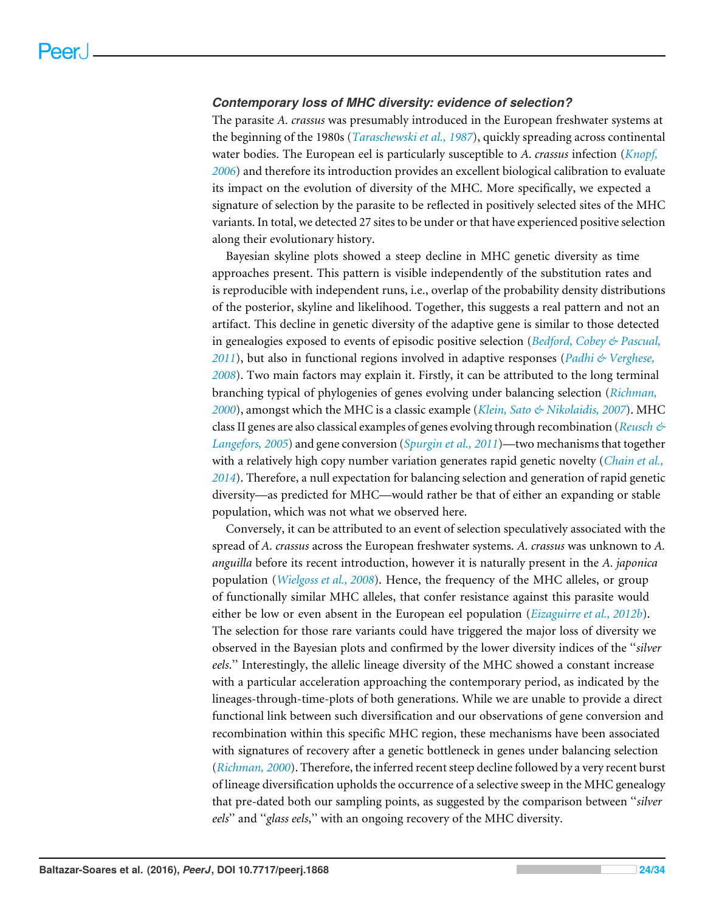#### *Contemporary loss of MHC diversity: evidence of selection?*

The parasite *A. crassus* was presumably introduced in the European freshwater systems at the beginning of the 1980s (*[Taraschewski et al., 1987](#page-32-12)*), quickly spreading across continental water bodies. The European eel is particularly susceptible to *A. crassus* infection (*[Knopf,](#page-29-5) [2006](#page-29-5)*) and therefore its introduction provides an excellent biological calibration to evaluate its impact on the evolution of diversity of the MHC. More specifically, we expected a signature of selection by the parasite to be reflected in positively selected sites of the MHC variants. In total, we detected 27 sites to be under or that have experienced positive selection along their evolutionary history.

Bayesian skyline plots showed a steep decline in MHC genetic diversity as time approaches present. This pattern is visible independently of the substitution rates and is reproducible with independent runs, i.e., overlap of the probability density distributions of the posterior, skyline and likelihood. Together, this suggests a real pattern and not an artifact. This decline in genetic diversity of the adaptive gene is similar to those detected in genealogies exposed to events of episodic positive selection (*[Bedford, Cobey & Pascual,](#page-26-7) [2011](#page-26-7)*), but also in functional regions involved in adaptive responses (*[Padhi & Verghese,](#page-30-10) [2008](#page-30-10)*). Two main factors may explain it. Firstly, it can be attributed to the long terminal branching typical of phylogenies of genes evolving under balancing selection (*[Richman,](#page-31-12) [2000](#page-31-12)*), amongst which the MHC is a classic example (*[Klein, Sato & Nikolaidis, 2007](#page-29-1)*). MHC class II genes are also classical examples of genes evolving through recombination (*[Reusch &](#page-31-9) [Langefors, 2005](#page-31-9)*) and gene conversion (*[Spurgin et al., 2011](#page-31-10)*)—two mechanisms that together with a relatively high copy number variation generates rapid genetic novelty (*[Chain et al.,](#page-27-13) [2014](#page-27-13)*). Therefore, a null expectation for balancing selection and generation of rapid genetic diversity—as predicted for MHC—would rather be that of either an expanding or stable population, which was not what we observed here.

Conversely, it can be attributed to an event of selection speculatively associated with the spread of *A. crassus* across the European freshwater systems. *A. crassus* was unknown to *A. anguilla* before its recent introduction, however it is naturally present in the *A. japonica* population (*[Wielgoss et al., 2008](#page-33-5)*). Hence, the frequency of the MHC alleles, or group of functionally similar MHC alleles, that confer resistance against this parasite would either be low or even absent in the European eel population (*[Eizaguirre et al., 2012b](#page-28-5)*). The selection for those rare variants could have triggered the major loss of diversity we observed in the Bayesian plots and confirmed by the lower diversity indices of the ''*silver eels*.'' Interestingly, the allelic lineage diversity of the MHC showed a constant increase with a particular acceleration approaching the contemporary period, as indicated by the lineages-through-time-plots of both generations. While we are unable to provide a direct functional link between such diversification and our observations of gene conversion and recombination within this specific MHC region, these mechanisms have been associated with signatures of recovery after a genetic bottleneck in genes under balancing selection (*[Richman, 2000](#page-31-12)*). Therefore, the inferred recent steep decline followed by a very recent burst of lineage diversification upholds the occurrence of a selective sweep in the MHC genealogy that pre-dated both our sampling points, as suggested by the comparison between ''*silver eels*'' and ''*glass eels*,'' with an ongoing recovery of the MHC diversity.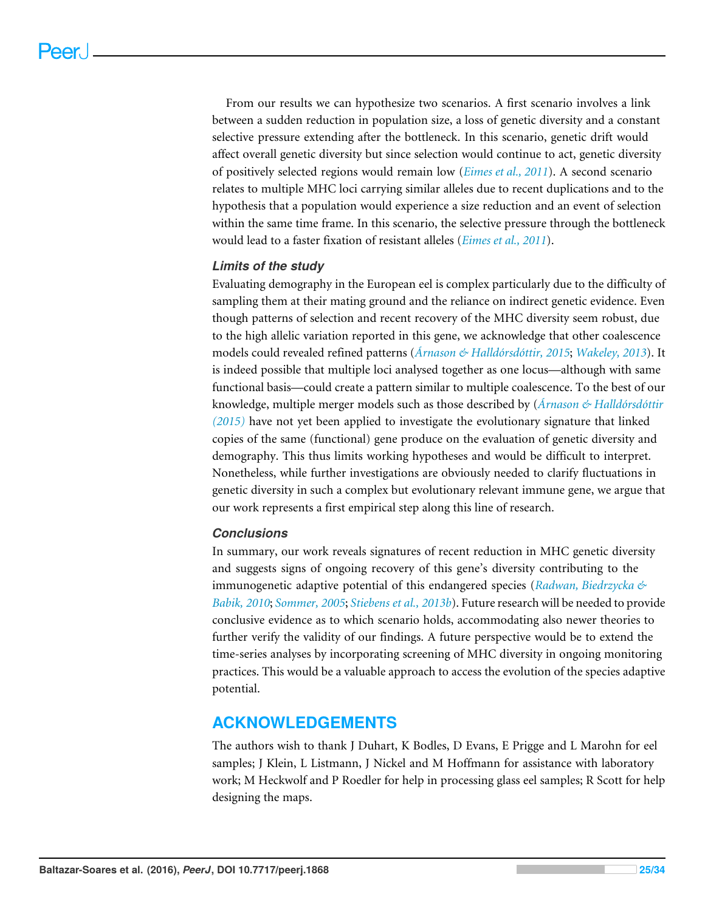From our results we can hypothesize two scenarios. A first scenario involves a link between a sudden reduction in population size, a loss of genetic diversity and a constant selective pressure extending after the bottleneck. In this scenario, genetic drift would affect overall genetic diversity but since selection would continue to act, genetic diversity of positively selected regions would remain low (*[Eimes et al., 2011](#page-27-14)*). A second scenario relates to multiple MHC loci carrying similar alleles due to recent duplications and to the hypothesis that a population would experience a size reduction and an event of selection within the same time frame. In this scenario, the selective pressure through the bottleneck would lead to a faster fixation of resistant alleles (*[Eimes et al., 2011](#page-27-14)*).

### *Limits of the study*

Evaluating demography in the European eel is complex particularly due to the difficulty of sampling them at their mating ground and the reliance on indirect genetic evidence. Even though patterns of selection and recent recovery of the MHC diversity seem robust, due to the high allelic variation reported in this gene, we acknowledge that other coalescence models could revealed refined patterns (*[Árnason & Halldórsdóttir, 2015](#page-26-10)*; *[Wakeley, 2013](#page-32-13)*). It is indeed possible that multiple loci analysed together as one locus—although with same functional basis—could create a pattern similar to multiple coalescence. To the best of our knowledge, multiple merger models such as those described by (*[Árnason & Halldórsdóttir](#page-26-10) [\(2015\)](#page-26-10)* have not yet been applied to investigate the evolutionary signature that linked copies of the same (functional) gene produce on the evaluation of genetic diversity and demography. This thus limits working hypotheses and would be difficult to interpret. Nonetheless, while further investigations are obviously needed to clarify fluctuations in genetic diversity in such a complex but evolutionary relevant immune gene, we argue that our work represents a first empirical step along this line of research.

### *Conclusions*

In summary, our work reveals signatures of recent reduction in MHC genetic diversity and suggests signs of ongoing recovery of this gene's diversity contributing to the immunogenetic adaptive potential of this endangered species (*[Radwan, Biedrzycka &](#page-31-13) [Babik, 2010](#page-31-13)*; *[Sommer, 2005](#page-31-1)*; *[Stiebens et al., 2013b](#page-32-1)*). Future research will be needed to provide conclusive evidence as to which scenario holds, accommodating also newer theories to further verify the validity of our findings. A future perspective would be to extend the time-series analyses by incorporating screening of MHC diversity in ongoing monitoring practices. This would be a valuable approach to access the evolution of the species adaptive potential.

# **ACKNOWLEDGEMENTS**

The authors wish to thank J Duhart, K Bodles, D Evans, E Prigge and L Marohn for eel samples; J Klein, L Listmann, J Nickel and M Hoffmann for assistance with laboratory work; M Heckwolf and P Roedler for help in processing glass eel samples; R Scott for help designing the maps.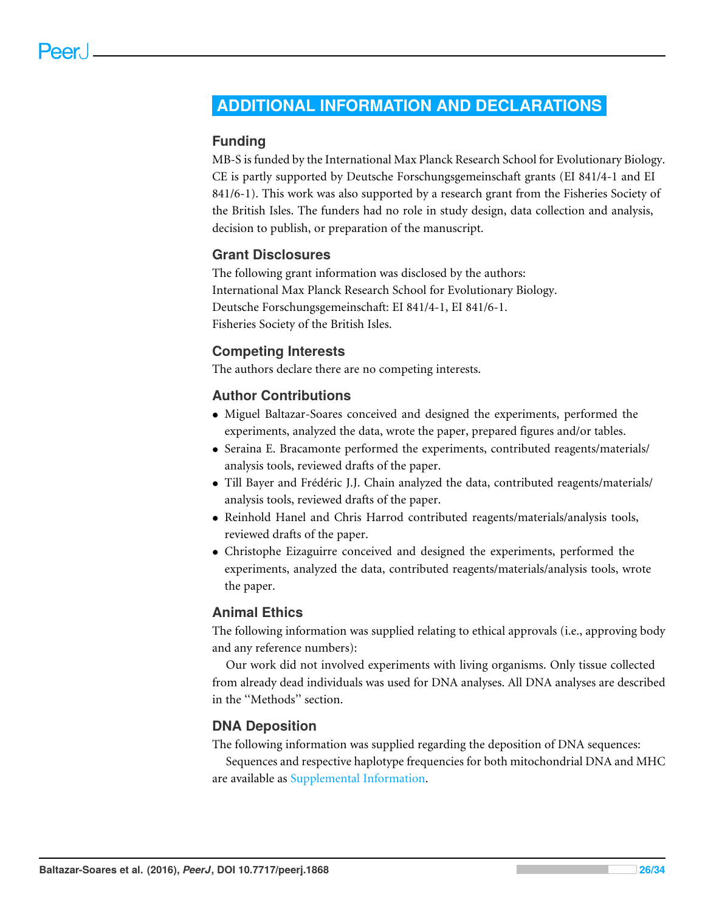# <span id="page-25-0"></span>**ADDITIONAL INFORMATION AND DECLARATIONS**

# **Funding**

MB-S is funded by the International Max Planck Research School for Evolutionary Biology. CE is partly supported by Deutsche Forschungsgemeinschaft grants (EI 841/4-1 and EI 841/6-1). This work was also supported by a research grant from the Fisheries Society of the British Isles. The funders had no role in study design, data collection and analysis, decision to publish, or preparation of the manuscript.

# **Grant Disclosures**

The following grant information was disclosed by the authors: International Max Planck Research School for Evolutionary Biology. Deutsche Forschungsgemeinschaft: EI 841/4-1, EI 841/6-1. Fisheries Society of the British Isles.

# **Competing Interests**

The authors declare there are no competing interests.

# **Author Contributions**

- [Miguel Baltazar-Soares](#page-0-6) conceived and designed the experiments, performed the experiments, analyzed the data, wrote the paper, prepared figures and/or tables.
- [Seraina E. Bracamonte](#page-0-7) performed the experiments, contributed reagents/materials/ analysis tools, reviewed drafts of the paper.
- [Till Bayer](#page-0-8) and [Frédéric J.J. Chain](#page-0-9) analyzed the data, contributed reagents/materials/ analysis tools, reviewed drafts of the paper.
- [Reinhold Hanel](#page-0-10) and [Chris Harrod](#page-0-11) contributed reagents/materials/analysis tools, reviewed drafts of the paper.
- [Christophe Eizaguirre](#page-0-12) conceived and designed the experiments, performed the experiments, analyzed the data, contributed reagents/materials/analysis tools, wrote the paper.

# **Animal Ethics**

The following information was supplied relating to ethical approvals (i.e., approving body and any reference numbers):

Our work did not involved experiments with living organisms. Only tissue collected from already dead individuals was used for DNA analyses. All DNA analyses are described in the ''Methods'' section.

# **DNA Deposition**

The following information was supplied regarding the deposition of DNA sequences:

Sequences and respective haplotype frequencies for both mitochondrial DNA and MHC are available as [Supplemental Information.](http://dx.doi.org/10.7717/peerj.1868/supplemental-information)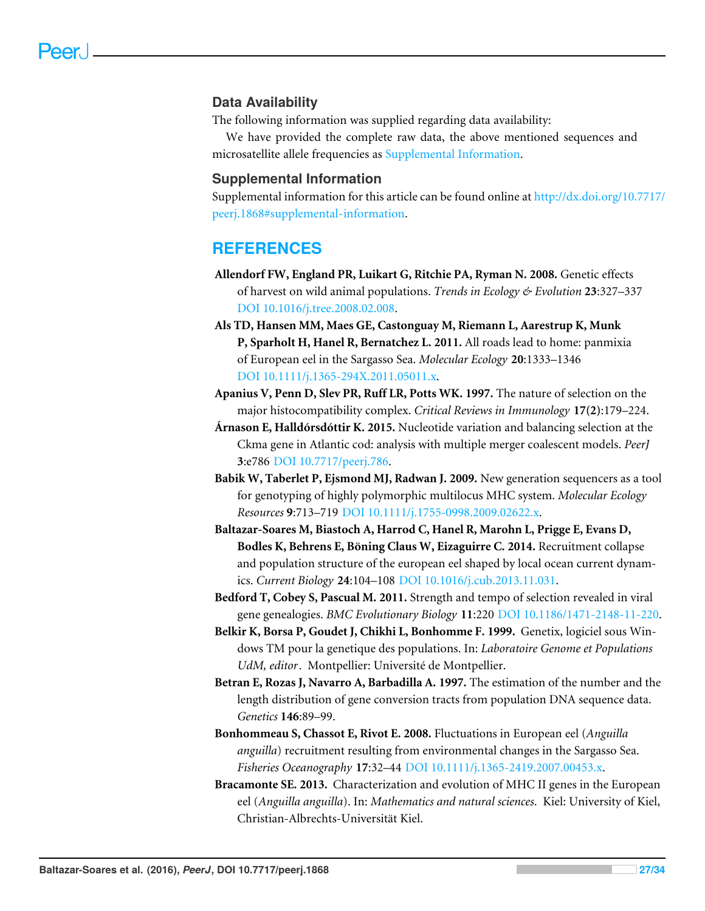# **Data Availability**

The following information was supplied regarding data availability:

We have provided the complete raw data, the above mentioned sequences and microsatellite allele frequencies as [Supplemental Information.](http://dx.doi.org/10.7717/peerj.1868/supplemental-information)

# **Supplemental Information**

Supplemental information for this article can be found online at [http://dx.doi.org/10.7717/](http://dx.doi.org/10.7717/peerj.1868#supplemental-information) [peerj.1868#supplemental-information.](http://dx.doi.org/10.7717/peerj.1868#supplemental-information)

# **REFERENCES**

- <span id="page-26-0"></span>**Allendorf FW, England PR, Luikart G, Ritchie PA, Ryman N. 2008.** Genetic effects of harvest on wild animal populations. *Trends in Ecology & Evolution* **23**:327–337 [DOI 10.1016/j.tree.2008.02.008.](http://dx.doi.org/10.1016/j.tree.2008.02.008)
- <span id="page-26-4"></span>**Als TD, Hansen MM, Maes GE, Castonguay M, Riemann L, Aarestrup K, Munk P, Sparholt H, Hanel R, Bernatchez L. 2011.** All roads lead to home: panmixia of European eel in the Sargasso Sea. *Molecular Ecology* **20**:1333–1346 [DOI 10.1111/j.1365-294X.2011.05011.x.](http://dx.doi.org/10.1111/j.1365-294X.2011.05011.x)
- <span id="page-26-1"></span>**Apanius V, Penn D, Slev PR, Ruff LR, Potts WK. 1997.** The nature of selection on the major histocompatibility complex. *Critical Reviews in Immunology* **17(2)**:179–224.
- <span id="page-26-10"></span>**Árnason E, Halldórsdóttir K. 2015.** Nucleotide variation and balancing selection at the Ckma gene in Atlantic cod: analysis with multiple merger coalescent models. *PeerJ* **3**:e786 [DOI 10.7717/peerj.786.](http://dx.doi.org/10.7717/peerj.786)
- <span id="page-26-9"></span>**Babik W, Taberlet P, Ejsmond MJ, Radwan J. 2009.** New generation sequencers as a tool for genotyping of highly polymorphic multilocus MHC system. *Molecular Ecology Resources* **9**:713–719 [DOI 10.1111/j.1755-0998.2009.02622.x.](http://dx.doi.org/10.1111/j.1755-0998.2009.02622.x)
- <span id="page-26-2"></span>**Baltazar-Soares M, Biastoch A, Harrod C, Hanel R, Marohn L, Prigge E, Evans D, Bodles K, Behrens E, Böning Claus W, Eizaguirre C. 2014.** Recruitment collapse and population structure of the european eel shaped by local ocean current dynamics. *Current Biology* **24**:104–108 [DOI 10.1016/j.cub.2013.11.031.](http://dx.doi.org/10.1016/j.cub.2013.11.031)
- <span id="page-26-7"></span>**Bedford T, Cobey S, Pascual M. 2011.** Strength and tempo of selection revealed in viral gene genealogies. *BMC Evolutionary Biology* **11**:220 [DOI 10.1186/1471-2148-11-220.](http://dx.doi.org/10.1186/1471-2148-11-220)
- <span id="page-26-5"></span>**Belkir K, Borsa P, Goudet J, Chikhi L, Bonhomme F. 1999.** Genetix, logiciel sous Windows TM pour la genetique des populations. In: *Laboratoire Genome et Populations UdM, editor*. Montpellier: Université de Montpellier.
- <span id="page-26-6"></span>**Betran E, Rozas J, Navarro A, Barbadilla A. 1997.** The estimation of the number and the length distribution of gene conversion tracts from population DNA sequence data. *Genetics* **146**:89–99.
- <span id="page-26-3"></span>**Bonhommeau S, Chassot E, Rivot E. 2008.** Fluctuations in European eel (*Anguilla anguilla*) recruitment resulting from environmental changes in the Sargasso Sea. *Fisheries Oceanography* **17**:32–44 [DOI 10.1111/j.1365-2419.2007.00453.x.](http://dx.doi.org/10.1111/j.1365-2419.2007.00453.x)
- <span id="page-26-8"></span>**Bracamonte SE. 2013.** Characterization and evolution of MHC II genes in the European eel (*Anguilla anguilla*). In: *Mathematics and natural sciences*. Kiel: University of Kiel, Christian-Albrechts-Universität Kiel.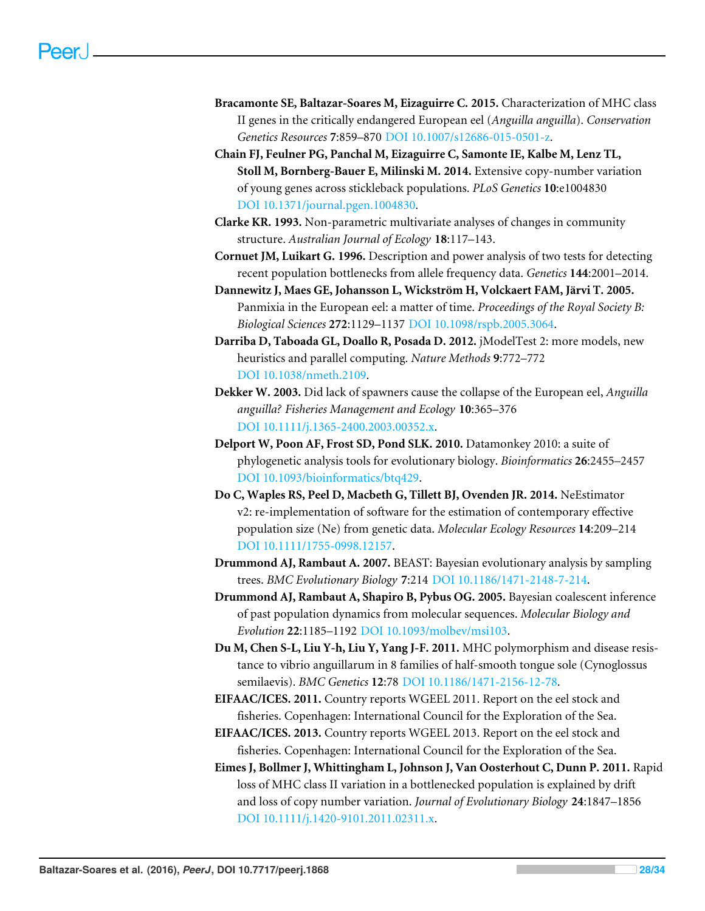- <span id="page-27-6"></span>**Bracamonte SE, Baltazar-Soares M, Eizaguirre C. 2015.** Characterization of MHC class II genes in the critically endangered European eel (*Anguilla anguilla*). *Conservation Genetics Resources* **7**:859–870 [DOI 10.1007/s12686-015-0501-z.](http://dx.doi.org/10.1007/s12686-015-0501-z)
- <span id="page-27-13"></span>**Chain FJ, Feulner PG, Panchal M, Eizaguirre C, Samonte IE, Kalbe M, Lenz TL, Stoll M, Bornberg-Bauer E, Milinski M. 2014.** Extensive copy-number variation of young genes across stickleback populations. *PLoS Genetics* **10**:e1004830 [DOI 10.1371/journal.pgen.1004830.](http://dx.doi.org/10.1371/journal.pgen.1004830)
- <span id="page-27-7"></span>**Clarke KR. 1993.** Non-parametric multivariate analyses of changes in community structure. *Australian Journal of Ecology* **18**:117–143.
- <span id="page-27-4"></span>**Cornuet JM, Luikart G. 1996.** Description and power analysis of two tests for detecting recent population bottlenecks from allele frequency data. *Genetics* **144**:2001–2014.
- <span id="page-27-3"></span>**Dannewitz J, Maes GE, Johansson L, Wickström H, Volckaert FAM, Järvi T. 2005.** Panmixia in the European eel: a matter of time. *Proceedings of the Royal Society B: Biological Sciences* **272**:1129–1137 [DOI 10.1098/rspb.2005.3064.](http://dx.doi.org/10.1098/rspb.2005.3064)
- <span id="page-27-11"></span>**Darriba D, Taboada GL, Doallo R, Posada D. 2012.** jModelTest 2: more models, new heuristics and parallel computing. *Nature Methods* **9**:772–772 [DOI 10.1038/nmeth.2109.](http://dx.doi.org/10.1038/nmeth.2109)
- <span id="page-27-2"></span>**Dekker W. 2003.** Did lack of spawners cause the collapse of the European eel, *Anguilla anguilla? Fisheries Management and Ecology* **10**:365–376 [DOI 10.1111/j.1365-2400.2003.00352.x.](http://dx.doi.org/10.1111/j.1365-2400.2003.00352.x)
- <span id="page-27-8"></span>**Delport W, Poon AF, Frost SD, Pond SLK. 2010.** Datamonkey 2010: a suite of phylogenetic analysis tools for evolutionary biology. *Bioinformatics* **26**:2455–2457 [DOI 10.1093/bioinformatics/btq429.](http://dx.doi.org/10.1093/bioinformatics/btq429)
- <span id="page-27-5"></span>**Do C, Waples RS, Peel D, Macbeth G, Tillett BJ, Ovenden JR. 2014.** NeEstimator v2: re-implementation of software for the estimation of contemporary effective population size (Ne) from genetic data. *Molecular Ecology Resources* **14**:209–214 [DOI 10.1111/1755-0998.12157.](http://dx.doi.org/10.1111/1755-0998.12157)
- <span id="page-27-10"></span>**Drummond AJ, Rambaut A. 2007.** BEAST: Bayesian evolutionary analysis by sampling trees. *BMC Evolutionary Biology* **7**:214 [DOI 10.1186/1471-2148-7-214.](http://dx.doi.org/10.1186/1471-2148-7-214)
- <span id="page-27-9"></span>**Drummond AJ, Rambaut A, Shapiro B, Pybus OG. 2005.** Bayesian coalescent inference of past population dynamics from molecular sequences. *Molecular Biology and Evolution* **22**:1185–1192 [DOI 10.1093/molbev/msi103.](http://dx.doi.org/10.1093/molbev/msi103)
- <span id="page-27-12"></span>**Du M, Chen S-L, Liu Y-h, Liu Y, Yang J-F. 2011.** MHC polymorphism and disease resistance to vibrio anguillarum in 8 families of half-smooth tongue sole (Cynoglossus semilaevis). *BMC Genetics* **12**:78 [DOI 10.1186/1471-2156-12-78.](http://dx.doi.org/10.1186/1471-2156-12-78)
- <span id="page-27-1"></span>**EIFAAC/ICES. 2011.** Country reports WGEEL 2011. Report on the eel stock and fisheries. Copenhagen: International Council for the Exploration of the Sea.
- <span id="page-27-0"></span>**EIFAAC/ICES. 2013.** Country reports WGEEL 2013. Report on the eel stock and fisheries. Copenhagen: International Council for the Exploration of the Sea.
- <span id="page-27-14"></span>**Eimes J, Bollmer J, Whittingham L, Johnson J, Van Oosterhout C, Dunn P. 2011.** Rapid loss of MHC class II variation in a bottlenecked population is explained by drift and loss of copy number variation. *Journal of Evolutionary Biology* **24**:1847–1856 [DOI 10.1111/j.1420-9101.2011.02311.x.](http://dx.doi.org/10.1111/j.1420-9101.2011.02311.x)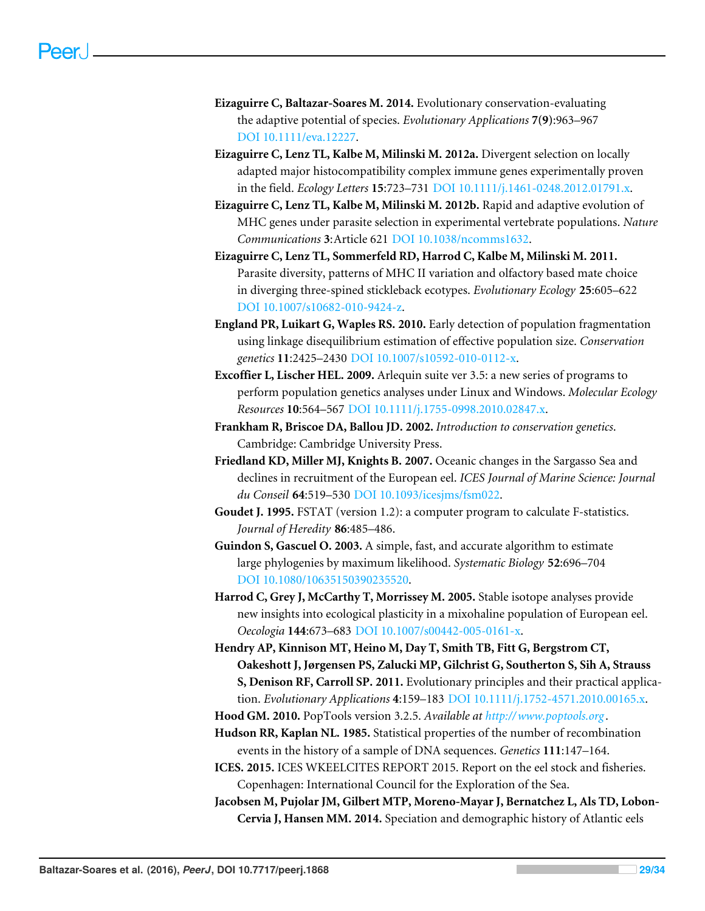- <span id="page-28-3"></span>**Eizaguirre C, Baltazar-Soares M. 2014.** Evolutionary conservation-evaluating the adaptive potential of species. *Evolutionary Applications* **7(9)**:963–967 [DOI 10.1111/eva.12227.](http://dx.doi.org/10.1111/eva.12227)
- <span id="page-28-4"></span>**Eizaguirre C, Lenz TL, Kalbe M, Milinski M. 2012a.** Divergent selection on locally adapted major histocompatibility complex immune genes experimentally proven in the field. *Ecology Letters* **15**:723–731 [DOI 10.1111/j.1461-0248.2012.01791.x.](http://dx.doi.org/10.1111/j.1461-0248.2012.01791.x)
- <span id="page-28-5"></span>**Eizaguirre C, Lenz TL, Kalbe M, Milinski M. 2012b.** Rapid and adaptive evolution of MHC genes under parasite selection in experimental vertebrate populations. *Nature Communications* **3**:Article 621 [DOI 10.1038/ncomms1632.](http://dx.doi.org/10.1038/ncomms1632)
- <span id="page-28-12"></span>**Eizaguirre C, Lenz TL, Sommerfeld RD, Harrod C, Kalbe M, Milinski M. 2011.** Parasite diversity, patterns of MHC II variation and olfactory based mate choice in diverging three-spined stickleback ecotypes. *Evolutionary Ecology* **25**:605–622 [DOI 10.1007/s10682-010-9424-z.](http://dx.doi.org/10.1007/s10682-010-9424-z)
- <span id="page-28-1"></span>**England PR, Luikart G, Waples RS. 2010.** Early detection of population fragmentation using linkage disequilibrium estimation of effective population size. *Conservation genetics* **11**:2425–2430 [DOI 10.1007/s10592-010-0112-x.](http://dx.doi.org/10.1007/s10592-010-0112-x)
- <span id="page-28-9"></span>**Excoffier L, Lischer HEL. 2009.** Arlequin suite ver 3.5: a new series of programs to perform population genetics analyses under Linux and Windows. *Molecular Ecology Resources* **10**:564–567 [DOI 10.1111/j.1755-0998.2010.02847.x.](http://dx.doi.org/10.1111/j.1755-0998.2010.02847.x)
- <span id="page-28-0"></span>**Frankham R, Briscoe DA, Ballou JD. 2002.** *Introduction to conservation genetics*. Cambridge: Cambridge University Press.
- <span id="page-28-7"></span>**Friedland KD, Miller MJ, Knights B. 2007.** Oceanic changes in the Sargasso Sea and declines in recruitment of the European eel. *ICES Journal of Marine Science: Journal du Conseil* **64**:519–530 [DOI 10.1093/icesjms/fsm022.](http://dx.doi.org/10.1093/icesjms/fsm022)
- <span id="page-28-11"></span>**Goudet J. 1995.** FSTAT (version 1.2): a computer program to calculate F-statistics. *Journal of Heredity* **86**:485–486.
- <span id="page-28-14"></span>**Guindon S, Gascuel O. 2003.** A simple, fast, and accurate algorithm to estimate large phylogenies by maximum likelihood. *Systematic Biology* **52**:696–704 [DOI 10.1080/10635150390235520.](http://dx.doi.org/10.1080/10635150390235520)
- <span id="page-28-6"></span>**Harrod C, Grey J, McCarthy T, Morrissey M. 2005.** Stable isotope analyses provide new insights into ecological plasticity in a mixohaline population of European eel. *Oecologia* **144**:673–683 [DOI 10.1007/s00442-005-0161-x.](http://dx.doi.org/10.1007/s00442-005-0161-x)
- <span id="page-28-2"></span>**Hendry AP, Kinnison MT, Heino M, Day T, Smith TB, Fitt G, Bergstrom CT, Oakeshott J, Jørgensen PS, Zalucki MP, Gilchrist G, Southerton S, Sih A, Strauss S, Denison RF, Carroll SP. 2011.** Evolutionary principles and their practical application. *Evolutionary Applications* **4**:159–183 [DOI 10.1111/j.1752-4571.2010.00165.x.](http://dx.doi.org/10.1111/j.1752-4571.2010.00165.x)
- <span id="page-28-10"></span>**Hood GM. 2010.** PopTools version 3.2.5. *Available at <http://www.poptools.org>* .
- <span id="page-28-13"></span>**Hudson RR, Kaplan NL. 1985.** Statistical properties of the number of recombination events in the history of a sample of DNA sequences. *Genetics* **111**:147–164.
- <span id="page-28-8"></span>**ICES. 2015.** ICES WKEELCITES REPORT 2015. Report on the eel stock and fisheries. Copenhagen: International Council for the Exploration of the Sea.
- <span id="page-28-15"></span>**Jacobsen M, Pujolar JM, Gilbert MTP, Moreno-Mayar J, Bernatchez L, Als TD, Lobon-Cervia J, Hansen MM. 2014.** Speciation and demographic history of Atlantic eels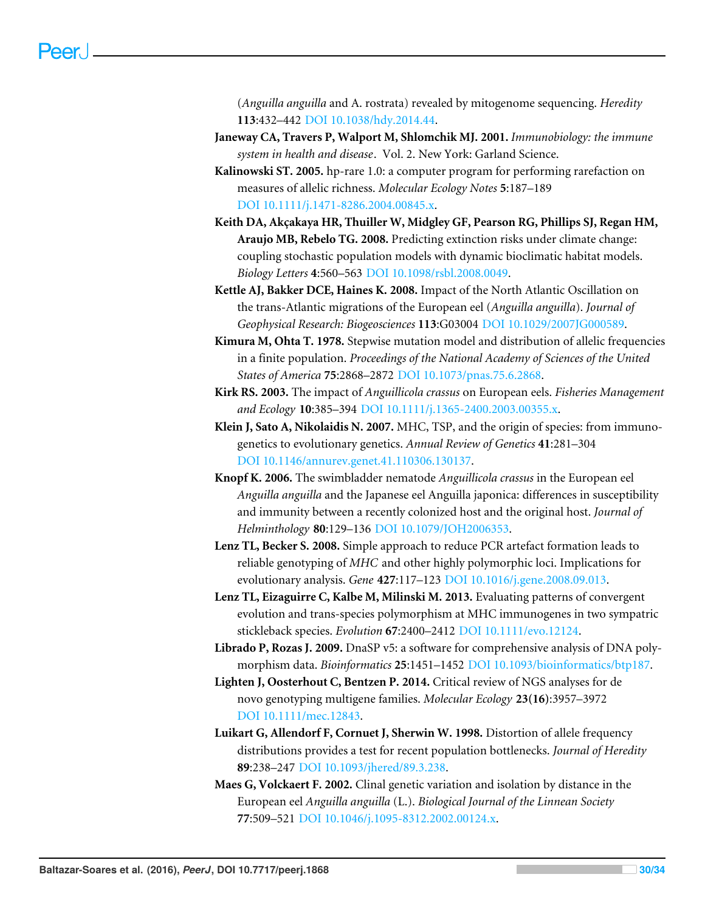(*Anguilla anguilla* and A. rostrata) revealed by mitogenome sequencing. *Heredity* **113**:432–442 [DOI 10.1038/hdy.2014.44.](http://dx.doi.org/10.1038/hdy.2014.44)

- <span id="page-29-2"></span>**Janeway CA, Travers P, Walport M, Shlomchik MJ. 2001.** *Immunobiology: the immune system in health and disease*. Vol. 2. New York: Garland Science.
- <span id="page-29-8"></span>**Kalinowski ST. 2005.** hp-rare 1.0: a computer program for performing rarefaction on measures of allelic richness. *Molecular Ecology Notes* **5**:187–189 [DOI 10.1111/j.1471-8286.2004.00845.x.](http://dx.doi.org/10.1111/j.1471-8286.2004.00845.x)
- <span id="page-29-0"></span>**Keith DA, Akçakaya HR, Thuiller W, Midgley GF, Pearson RG, Phillips SJ, Regan HM, Araujo MB, Rebelo TG. 2008.** Predicting extinction risks under climate change: coupling stochastic population models with dynamic bioclimatic habitat models. *Biology Letters* **4**:560–563 [DOI 10.1098/rsbl.2008.0049.](http://dx.doi.org/10.1098/rsbl.2008.0049)
- <span id="page-29-3"></span>**Kettle AJ, Bakker DCE, Haines K. 2008.** Impact of the North Atlantic Oscillation on the trans-Atlantic migrations of the European eel (*Anguilla anguilla*). *Journal of Geophysical Research: Biogeosciences* **113**:G03004 [DOI 10.1029/2007JG000589.](http://dx.doi.org/10.1029/2007JG000589)
- <span id="page-29-9"></span>**Kimura M, Ohta T. 1978.** Stepwise mutation model and distribution of allelic frequencies in a finite population. *Proceedings of the National Academy of Sciences of the United States of America* **75**:2868–2872 [DOI 10.1073/pnas.75.6.2868.](http://dx.doi.org/10.1073/pnas.75.6.2868)
- <span id="page-29-4"></span>**Kirk RS. 2003.** The impact of *Anguillicola crassus* on European eels. *Fisheries Management and Ecology* **10**:385–394 [DOI 10.1111/j.1365-2400.2003.00355.x.](http://dx.doi.org/10.1111/j.1365-2400.2003.00355.x)
- <span id="page-29-1"></span>**Klein J, Sato A, Nikolaidis N. 2007.** MHC, TSP, and the origin of species: from immunogenetics to evolutionary genetics. *Annual Review of Genetics* **41**:281–304 [DOI 10.1146/annurev.genet.41.110306.130137.](http://dx.doi.org/10.1146/annurev.genet.41.110306.130137)
- <span id="page-29-5"></span>**Knopf K. 2006.** The swimbladder nematode *Anguillicola crassus* in the European eel *Anguilla anguilla* and the Japanese eel Anguilla japonica: differences in susceptibility and immunity between a recently colonized host and the original host. *Journal of Helminthology* **80**:129–136 [DOI 10.1079/JOH2006353.](http://dx.doi.org/10.1079/JOH2006353)
- <span id="page-29-11"></span>**Lenz TL, Becker S. 2008.** Simple approach to reduce PCR artefact formation leads to reliable genotyping of *MHC* and other highly polymorphic loci. Implications for evolutionary analysis. *Gene* **427**:117–123 [DOI 10.1016/j.gene.2008.09.013.](http://dx.doi.org/10.1016/j.gene.2008.09.013)
- <span id="page-29-12"></span>**Lenz TL, Eizaguirre C, Kalbe M, Milinski M. 2013.** Evaluating patterns of convergent evolution and trans-species polymorphism at MHC immunogenes in two sympatric stickleback species. *Evolution* **67**:2400–2412 [DOI 10.1111/evo.12124.](http://dx.doi.org/10.1111/evo.12124)
- <span id="page-29-7"></span>**Librado P, Rozas J. 2009.** DnaSP v5: a software for comprehensive analysis of DNA polymorphism data. *Bioinformatics* **25**:1451–1452 [DOI 10.1093/bioinformatics/btp187.](http://dx.doi.org/10.1093/bioinformatics/btp187)
- <span id="page-29-13"></span>**Lighten J, Oosterhout C, Bentzen P. 2014.** Critical review of NGS analyses for de novo genotyping multigene families. *Molecular Ecology* **23(16)**:3957–3972 [DOI 10.1111/mec.12843.](http://dx.doi.org/10.1111/mec.12843)
- <span id="page-29-10"></span>**Luikart G, Allendorf F, Cornuet J, Sherwin W. 1998.** Distortion of allele frequency distributions provides a test for recent population bottlenecks. *Journal of Heredity* **89**:238–247 [DOI 10.1093/jhered/89.3.238.](http://dx.doi.org/10.1093/jhered/89.3.238)
- <span id="page-29-6"></span>**Maes G, Volckaert F. 2002.** Clinal genetic variation and isolation by distance in the European eel *Anguilla anguilla* (L.). *Biological Journal of the Linnean Society* **77**:509–521 [DOI 10.1046/j.1095-8312.2002.00124.x.](http://dx.doi.org/10.1046/j.1095-8312.2002.00124.x)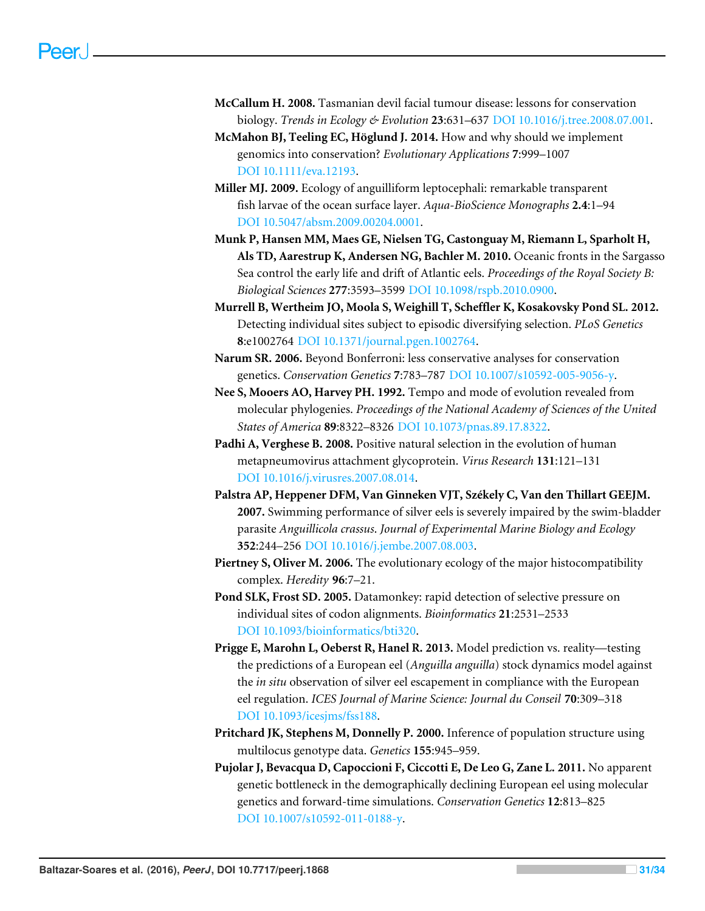- <span id="page-30-2"></span>**McCallum H. 2008.** Tasmanian devil facial tumour disease: lessons for conservation biology. *Trends in Ecology & Evolution* **23**:631–637 [DOI 10.1016/j.tree.2008.07.001.](http://dx.doi.org/10.1016/j.tree.2008.07.001)
- <span id="page-30-0"></span>**McMahon BJ, Teeling EC, Höglund J. 2014.** How and why should we implement genomics into conservation? *Evolutionary Applications* **7**:999–1007 [DOI 10.1111/eva.12193.](http://dx.doi.org/10.1111/eva.12193)
- <span id="page-30-4"></span>**Miller MJ. 2009.** Ecology of anguilliform leptocephali: remarkable transparent fish larvae of the ocean surface layer. *Aqua-BioScience Monographs* **2.4**:1–94 [DOI 10.5047/absm.2009.00204.0001.](http://dx.doi.org/10.5047/absm.2009.00204.0001)
- <span id="page-30-3"></span>**Munk P, Hansen MM, Maes GE, Nielsen TG, Castonguay M, Riemann L, Sparholt H, Als TD, Aarestrup K, Andersen NG, Bachler M. 2010.** Oceanic fronts in the Sargasso Sea control the early life and drift of Atlantic eels. *Proceedings of the Royal Society B: Biological Sciences* **277**:3593–3599 [DOI 10.1098/rspb.2010.0900.](http://dx.doi.org/10.1098/rspb.2010.0900)
- <span id="page-30-8"></span>**Murrell B, Wertheim JO, Moola S, Weighill T, Scheffler K, Kosakovsky Pond SL. 2012.** Detecting individual sites subject to episodic diversifying selection. *PLoS Genetics* **8**:e1002764 [DOI 10.1371/journal.pgen.1002764.](http://dx.doi.org/10.1371/journal.pgen.1002764)
- <span id="page-30-12"></span>**Narum SR. 2006.** Beyond Bonferroni: less conservative analyses for conservation genetics. *Conservation Genetics* **7**:783–787 [DOI 10.1007/s10592-005-9056-y.](http://dx.doi.org/10.1007/s10592-005-9056-y)
- <span id="page-30-11"></span>**Nee S, Mooers AO, Harvey PH. 1992.** Tempo and mode of evolution revealed from molecular phylogenies. *Proceedings of the National Academy of Sciences of the United States of America* **89**:8322–8326 [DOI 10.1073/pnas.89.17.8322.](http://dx.doi.org/10.1073/pnas.89.17.8322)
- <span id="page-30-10"></span>**Padhi A, Verghese B. 2008.** Positive natural selection in the evolution of human metapneumovirus attachment glycoprotein. *Virus Research* **131**:121–131 [DOI 10.1016/j.virusres.2007.08.014.](http://dx.doi.org/10.1016/j.virusres.2007.08.014)
- <span id="page-30-13"></span>**Palstra AP, Heppener DFM, Van Ginneken VJT, Székely C, Van den Thillart GEEJM. 2007.** Swimming performance of silver eels is severely impaired by the swim-bladder parasite *Anguillicola crassus*. *Journal of Experimental Marine Biology and Ecology* **352**:244–256 [DOI 10.1016/j.jembe.2007.08.003.](http://dx.doi.org/10.1016/j.jembe.2007.08.003)
- <span id="page-30-1"></span>**Piertney S, Oliver M. 2006.** The evolutionary ecology of the major histocompatibility complex. *Heredity* **96**:7–21.
- <span id="page-30-9"></span>**Pond SLK, Frost SD. 2005.** Datamonkey: rapid detection of selective pressure on individual sites of codon alignments. *Bioinformatics* **21**:2531–2533 [DOI 10.1093/bioinformatics/bti320.](http://dx.doi.org/10.1093/bioinformatics/bti320)
- <span id="page-30-5"></span>**Prigge E, Marohn L, Oeberst R, Hanel R. 2013.** Model prediction vs. reality—testing the predictions of a European eel (*Anguilla anguilla*) stock dynamics model against the *in situ* observation of silver eel escapement in compliance with the European eel regulation. *ICES Journal of Marine Science: Journal du Conseil* **70**:309–318 [DOI 10.1093/icesjms/fss188.](http://dx.doi.org/10.1093/icesjms/fss188)
- <span id="page-30-7"></span>**Pritchard JK, Stephens M, Donnelly P. 2000.** Inference of population structure using multilocus genotype data. *Genetics* **155**:945–959.
- <span id="page-30-6"></span>**Pujolar J, Bevacqua D, Capoccioni F, Ciccotti E, De Leo G, Zane L. 2011.** No apparent genetic bottleneck in the demographically declining European eel using molecular genetics and forward-time simulations. *Conservation Genetics* **12**:813–825 [DOI 10.1007/s10592-011-0188-y.](http://dx.doi.org/10.1007/s10592-011-0188-y)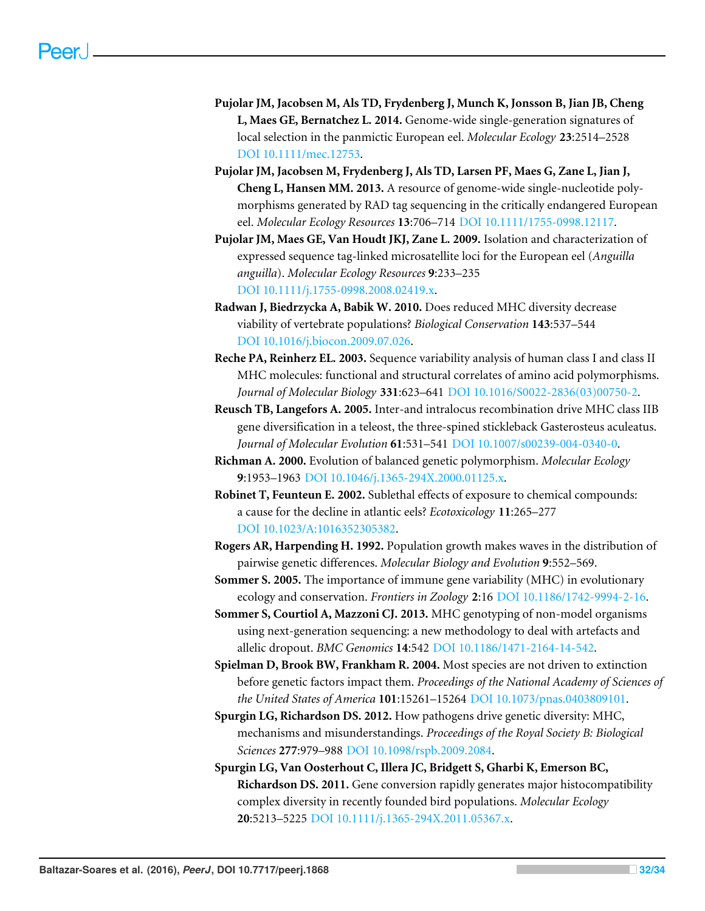- <span id="page-31-4"></span>**Pujolar JM, Jacobsen M, Als TD, Frydenberg J, Munch K, Jonsson B, Jian JB, Cheng L, Maes GE, Bernatchez L. 2014.** Genome-wide single-generation signatures of local selection in the panmictic European eel. *Molecular Ecology* **23**:2514–2528 [DOI 10.1111/mec.12753.](http://dx.doi.org/10.1111/mec.12753)
- <span id="page-31-5"></span>**Pujolar JM, Jacobsen M, Frydenberg J, Als TD, Larsen PF, Maes G, Zane L, Jian J, Cheng L, Hansen MM. 2013.** A resource of genome-wide single-nucleotide polymorphisms generated by RAD tag sequencing in the critically endangered European eel. *Molecular Ecology Resources* **13**:706–714 [DOI 10.1111/1755-0998.12117.](http://dx.doi.org/10.1111/1755-0998.12117)
- <span id="page-31-7"></span>**Pujolar JM, Maes GE, Van Houdt JKJ, Zane L. 2009.** Isolation and characterization of expressed sequence tag-linked microsatellite loci for the European eel (*Anguilla anguilla*). *Molecular Ecology Resources* **9**:233–235 [DOI 10.1111/j.1755-0998.2008.02419.x.](http://dx.doi.org/10.1111/j.1755-0998.2008.02419.x)
- <span id="page-31-13"></span>**Radwan J, Biedrzycka A, Babik W. 2010.** Does reduced MHC diversity decrease viability of vertebrate populations? *Biological Conservation* **143**:537–544 [DOI 10.1016/j.biocon.2009.07.026.](http://dx.doi.org/10.1016/j.biocon.2009.07.026)
- <span id="page-31-11"></span>**Reche PA, Reinherz EL. 2003.** Sequence variability analysis of human class I and class II MHC molecules: functional and structural correlates of amino acid polymorphisms. *Journal of Molecular Biology* **331**:623–641 [DOI 10.1016/S0022-2836\(03\)00750-2.](http://dx.doi.org/10.1016/S0022-2836(03)00750-2)
- <span id="page-31-9"></span>**Reusch TB, Langefors A. 2005.** Inter-and intralocus recombination drive MHC class IIB gene diversification in a teleost, the three-spined stickleback Gasterosteus aculeatus. *Journal of Molecular Evolution* **61**:531–541 [DOI 10.1007/s00239-004-0340-0.](http://dx.doi.org/10.1007/s00239-004-0340-0)
- <span id="page-31-12"></span>**Richman A. 2000.** Evolution of balanced genetic polymorphism. *Molecular Ecology* **9**:1953–1963 [DOI 10.1046/j.1365-294X.2000.01125.x.](http://dx.doi.org/10.1046/j.1365-294X.2000.01125.x)
- <span id="page-31-3"></span>**Robinet T, Feunteun E. 2002.** Sublethal effects of exposure to chemical compounds: a cause for the decline in atlantic eels? *Ecotoxicology* **11**:265–277 [DOI 10.1023/A:1016352305382.](http://dx.doi.org/10.1023/A:1016352305382)
- <span id="page-31-6"></span>**Rogers AR, Harpending H. 1992.** Population growth makes waves in the distribution of pairwise genetic differences. *Molecular Biology and Evolution* **9**:552–569.
- <span id="page-31-1"></span>**Sommer S. 2005.** The importance of immune gene variability (MHC) in evolutionary ecology and conservation. *Frontiers in Zoology* **2**:16 [DOI 10.1186/1742-9994-2-16.](http://dx.doi.org/10.1186/1742-9994-2-16)
- <span id="page-31-8"></span>**Sommer S, Courtiol A, Mazzoni CJ. 2013.** MHC genotyping of non-model organisms using next-generation sequencing: a new methodology to deal with artefacts and allelic dropout. *BMC Genomics* **14**:542 [DOI 10.1186/1471-2164-14-542.](http://dx.doi.org/10.1186/1471-2164-14-542)
- <span id="page-31-0"></span>**Spielman D, Brook BW, Frankham R. 2004.** Most species are not driven to extinction before genetic factors impact them. *Proceedings of the National Academy of Sciences of the United States of America* **101**:15261–15264 [DOI 10.1073/pnas.0403809101.](http://dx.doi.org/10.1073/pnas.0403809101)
- <span id="page-31-2"></span>**Spurgin LG, Richardson DS. 2012.** How pathogens drive genetic diversity: MHC, mechanisms and misunderstandings. *Proceedings of the Royal Society B: Biological Sciences* **277**:979–988 [DOI 10.1098/rspb.2009.2084.](http://dx.doi.org/10.1098/rspb.2009.2084)
- <span id="page-31-10"></span>**Spurgin LG, Van Oosterhout C, Illera JC, Bridgett S, Gharbi K, Emerson BC, Richardson DS. 2011.** Gene conversion rapidly generates major histocompatibility complex diversity in recently founded bird populations. *Molecular Ecology* **20**:5213–5225 [DOI 10.1111/j.1365-294X.2011.05367.x.](http://dx.doi.org/10.1111/j.1365-294X.2011.05367.x)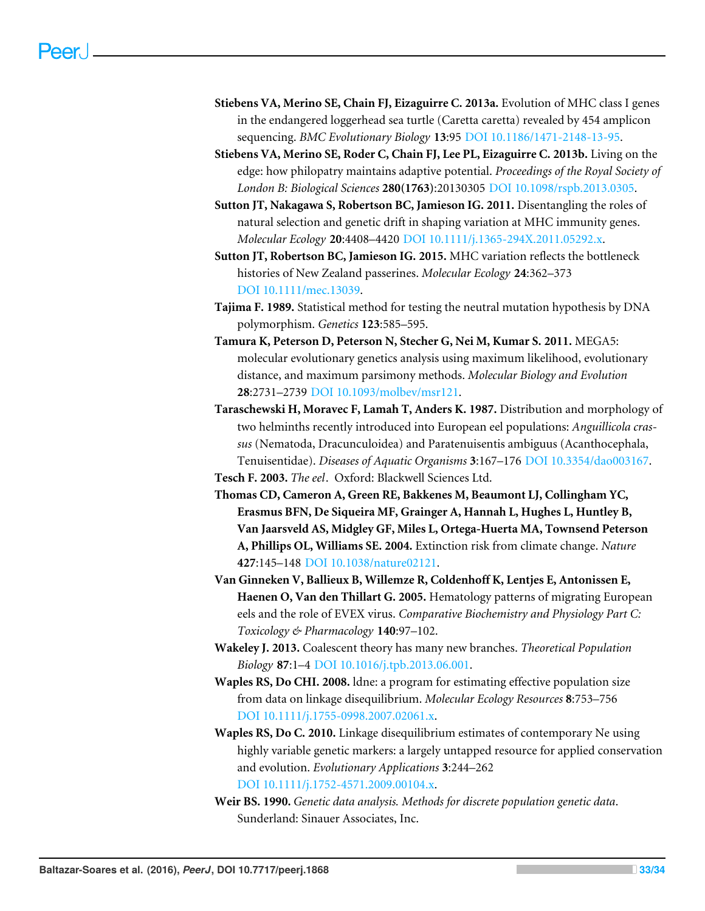- <span id="page-32-10"></span>**Stiebens VA, Merino SE, Chain FJ, Eizaguirre C. 2013a.** Evolution of MHC class I genes in the endangered loggerhead sea turtle (Caretta caretta) revealed by 454 amplicon sequencing. *BMC Evolutionary Biology* **13**:95 [DOI 10.1186/1471-2148-13-95.](http://dx.doi.org/10.1186/1471-2148-13-95)
- <span id="page-32-1"></span>**Stiebens VA, Merino SE, Roder C, Chain FJ, Lee PL, Eizaguirre C. 2013b.** Living on the edge: how philopatry maintains adaptive potential. *Proceedings of the Royal Society of London B: Biological Sciences* **280(1763)**:20130305 [DOI 10.1098/rspb.2013.0305.](http://dx.doi.org/10.1098/rspb.2013.0305)
- <span id="page-32-2"></span>**Sutton JT, Nakagawa S, Robertson BC, Jamieson IG. 2011.** Disentangling the roles of natural selection and genetic drift in shaping variation at MHC immunity genes. *Molecular Ecology* **20**:4408–4420 [DOI 10.1111/j.1365-294X.2011.05292.x.](http://dx.doi.org/10.1111/j.1365-294X.2011.05292.x)
- <span id="page-32-5"></span>**Sutton JT, Robertson BC, Jamieson IG. 2015.** MHC variation reflects the bottleneck histories of New Zealand passerines. *Molecular Ecology* **24**:362–373 [DOI 10.1111/mec.13039.](http://dx.doi.org/10.1111/mec.13039)
- <span id="page-32-6"></span>**Tajima F. 1989.** Statistical method for testing the neutral mutation hypothesis by DNA polymorphism. *Genetics* **123**:585–595.
- <span id="page-32-11"></span>**Tamura K, Peterson D, Peterson N, Stecher G, Nei M, Kumar S. 2011.** MEGA5: molecular evolutionary genetics analysis using maximum likelihood, evolutionary distance, and maximum parsimony methods. *Molecular Biology and Evolution* **28**:2731–2739 [DOI 10.1093/molbev/msr121.](http://dx.doi.org/10.1093/molbev/msr121)
- <span id="page-32-12"></span>**Taraschewski H, Moravec F, Lamah T, Anders K. 1987.** Distribution and morphology of two helminths recently introduced into European eel populations: *Anguillicola crassus* (Nematoda, Dracunculoidea) and Paratenuisentis ambiguus (Acanthocephala, Tenuisentidae). *Diseases of Aquatic Organisms* **3**:167–176 [DOI 10.3354/dao003167.](http://dx.doi.org/10.3354/dao003167)
- <span id="page-32-3"></span>**Tesch F. 2003.** *The eel*. Oxford: Blackwell Sciences Ltd.
- <span id="page-32-0"></span>**Thomas CD, Cameron A, Green RE, Bakkenes M, Beaumont LJ, Collingham YC, Erasmus BFN, De Siqueira MF, Grainger A, Hannah L, Hughes L, Huntley B, Van Jaarsveld AS, Midgley GF, Miles L, Ortega-Huerta MA, Townsend Peterson A, Phillips OL, Williams SE. 2004.** Extinction risk from climate change. *Nature* **427**:145–148 [DOI 10.1038/nature02121.](http://dx.doi.org/10.1038/nature02121)
- <span id="page-32-4"></span>**Van Ginneken V, Ballieux B, Willemze R, Coldenhoff K, Lentjes E, Antonissen E, Haenen O, Van den Thillart G. 2005.** Hematology patterns of migrating European eels and the role of EVEX virus. *Comparative Biochemistry and Physiology Part C: Toxicology & Pharmacology* **140**:97–102.
- <span id="page-32-13"></span>**Wakeley J. 2013.** Coalescent theory has many new branches. *Theoretical Population Biology* **87**:1–4 [DOI 10.1016/j.tpb.2013.06.001.](http://dx.doi.org/10.1016/j.tpb.2013.06.001)
- <span id="page-32-8"></span>**Waples RS, Do CHI. 2008.** ldne: a program for estimating effective population size from data on linkage disequilibrium. *Molecular Ecology Resources* **8**:753–756 [DOI 10.1111/j.1755-0998.2007.02061.x.](http://dx.doi.org/10.1111/j.1755-0998.2007.02061.x)
- <span id="page-32-7"></span>**Waples RS, Do C. 2010.** Linkage disequilibrium estimates of contemporary Ne using highly variable genetic markers: a largely untapped resource for applied conservation and evolution. *Evolutionary Applications* **3**:244–262 [DOI 10.1111/j.1752-4571.2009.00104.x.](http://dx.doi.org/10.1111/j.1752-4571.2009.00104.x)
- <span id="page-32-9"></span>**Weir BS. 1990.** *Genetic data analysis. Methods for discrete population genetic data*. Sunderland: Sinauer Associates, Inc.